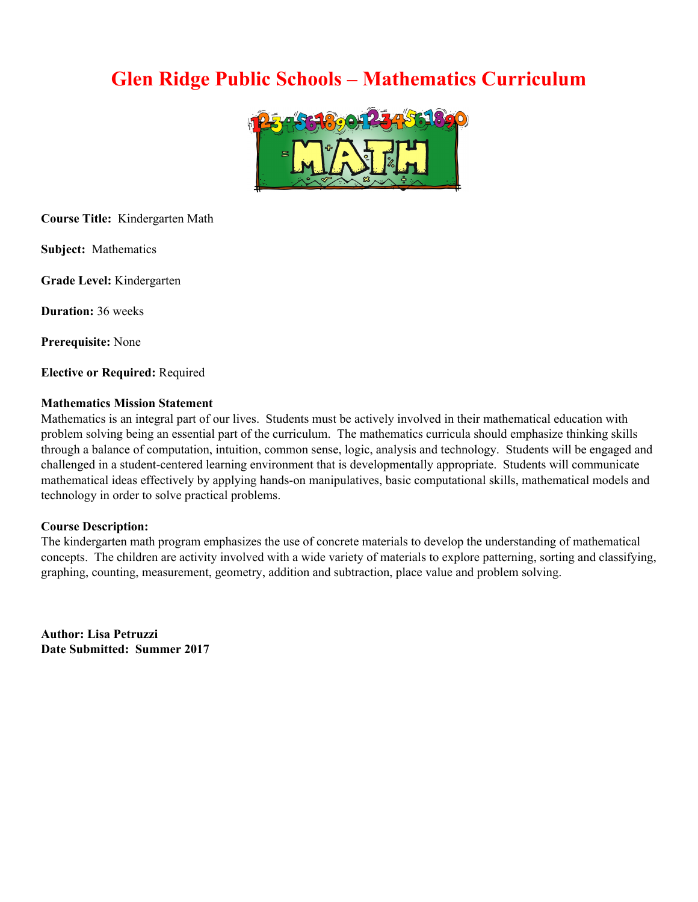## **Glen Ridge Public Schools – Mathematics Curriculum**



**Course Title:** Kindergarten Math

**Subject:** Mathematics

**Grade Level:** Kindergarten

**Duration:** 36 weeks

**Prerequisite:** None

**Elective or Required:** Required

#### **Mathematics Mission Statement**

Mathematics is an integral part of our lives. Students must be actively involved in their mathematical education with problem solving being an essential part of the curriculum. The mathematics curricula should emphasize thinking skills through a balance of computation, intuition, common sense, logic, analysis and technology. Students will be engaged and challenged in a student-centered learning environment that is developmentally appropriate. Students will communicate mathematical ideas effectively by applying hands-on manipulatives, basic computational skills, mathematical models and technology in order to solve practical problems.

#### **Course Description:**

The kindergarten math program emphasizes the use of concrete materials to develop the understanding of mathematical concepts. The children are activity involved with a wide variety of materials to explore patterning, sorting and classifying, graphing, counting, measurement, geometry, addition and subtraction, place value and problem solving.

**Author: Lisa Petruzzi Date Submitted: Summer 2017**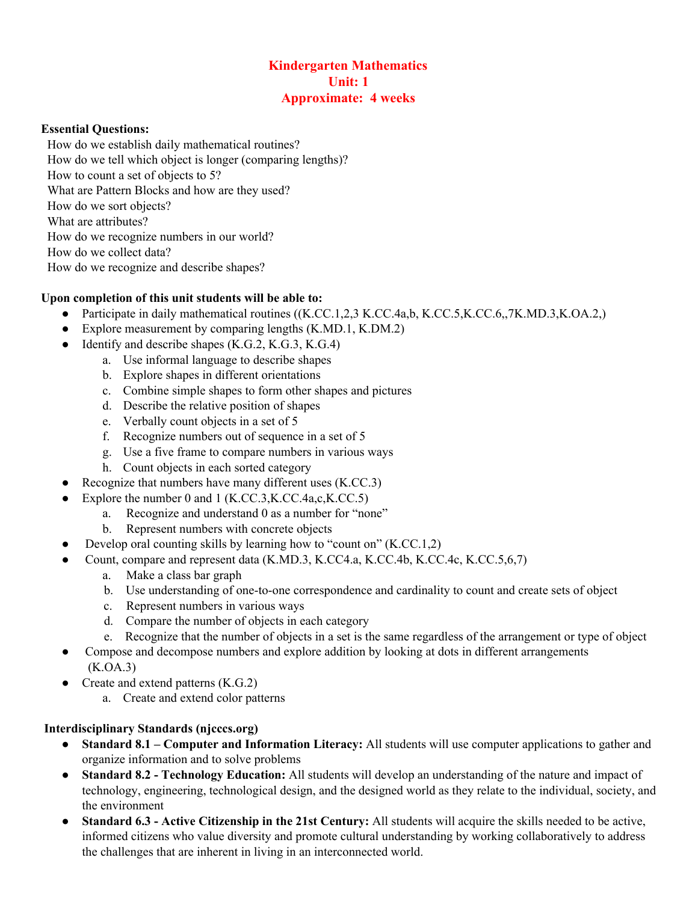## **Kindergarten Mathematics Unit: 1 Approximate: 4 weeks**

#### **Essential Questions:**

 How do we establish daily mathematical routines? How do we tell which object is longer (comparing lengths)? How to count a set of objects to 5? What are Pattern Blocks and how are they used? How do we sort objects? What are attributes? How do we recognize numbers in our world? How do we collect data? How do we recognize and describe shapes?

#### **Upon completion of this unit students will be able to:**

- Participate in daily mathematical routines ((K.CC.1,2,3 K.CC.4a,b, K.CC.5, K.CC.6, 7K.MD.3, K.OA.2,)
- Explore measurement by comparing lengths (K.MD.1, K.DM.2)
- $\bullet$  Identify and describe shapes (K.G.2, K.G.3, K.G.4)
	- a. Use informal language to describe shapes
	- b. Explore shapes in different orientations
	- c. Combine simple shapes to form other shapes and pictures
	- d. Describe the relative position of shapes
	- e. Verbally count objects in a set of 5
	- f. Recognize numbers out of sequence in a set of 5
	- g. Use a five frame to compare numbers in various ways
	- h. Count objects in each sorted category
- Recognize that numbers have many different uses  $(K.CC.3)$
- Explore the number 0 and 1  $(K.CC.3,K.CC.4a,c,K.CC.5)$ 
	- a. Recognize and understand 0 as a number for "none"
	- b. Represent numbers with concrete objects
- Develop oral counting skills by learning how to "count on"  $(K.CC.1,2)$ 
	- Count, compare and represent data (K.MD.3, K.CC4.a, K.CC.4b, K.CC.4c, K.CC.5,6,7)
		- a. Make a class bar graph
		- b. Use understanding of one-to-one correspondence and cardinality to count and create sets of object
		- c. Represent numbers in various ways
		- d. Compare the number of objects in each category
		- e. Recognize that the number of objects in a set is the same regardless of the arrangement or type of object
- Compose and decompose numbers and explore addition by looking at dots in different arrangements (K.OA.3)
- Create and extend patterns (K.G.2)
	- a. Create and extend color patterns

# **Interdisciplinary Standards (njcccs.org)**

- **Standard 8.1 – Computer and Information Literacy:** All students will use computer applications to gather and organize information and to solve problems
- **Standard 8.2 - Technology Education:** All students will develop an understanding of the nature and impact of technology, engineering, technological design, and the designed world as they relate to the individual, society, and the environment
- **Standard 6.3 - Active Citizenship in the 21st Century:** All students will acquire the skills needed to be active, informed citizens who value diversity and promote cultural understanding by working collaboratively to address the challenges that are inherent in living in an interconnected world.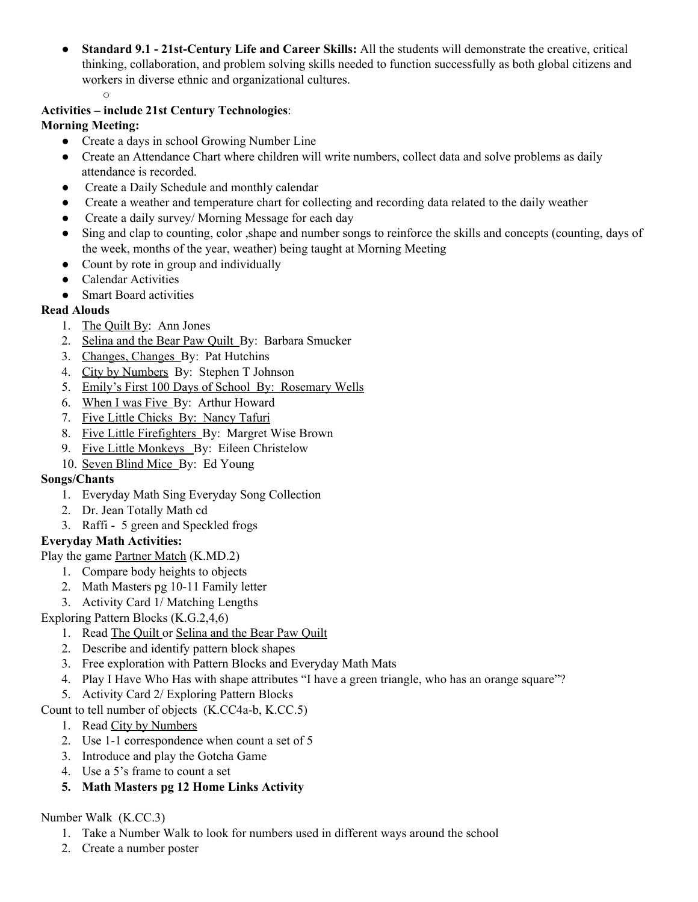- **Standard 9.1 - 21st-Century Life and Career Skills:** All the students will demonstrate the creative, critical thinking, collaboration, and problem solving skills needed to function successfully as both global citizens and workers in diverse ethnic and organizational cultures.
- **Activities – include 21st Century Technologies**:

## **Morning Meeting:**

- Create a days in school Growing Number Line
- Create an Attendance Chart where children will write numbers, collect data and solve problems as daily attendance is recorded.
- Create a Daily Schedule and monthly calendar
- Create a weather and temperature chart for collecting and recording data related to the daily weather
- Create a daily survey/ Morning Message for each day
- Sing and clap to counting, color , shape and number songs to reinforce the skills and concepts (counting, days of the week, months of the year, weather) being taught at Morning Meeting
- Count by rote in group and individually
- Calendar Activities
- Smart Board activities

## **Read Alouds**

- 1. The Quilt By: Ann Jones
- 2. Selina and the Bear Paw Quilt By: Barbara Smucker
- 3. Changes, Changes By: Pat Hutchins
- 4. City by Numbers By: Stephen T Johnson
- 5. Emily's First 100 Days of School By: Rosemary Wells
- 6. When I was Five By: Arthur Howard
- 7. Five Little Chicks By: Nancy Tafuri
- 8. Five Little Firefighters By: Margret Wise Brown
- 9. Five Little Monkeys By: Eileen Christelow
- 10. Seven Blind Mice By: Ed Young

## **Songs/Chants**

- 1. Everyday Math Sing Everyday Song Collection
- 2. Dr. Jean Totally Math cd
- 3. Raffi 5 green and Speckled frogs

## **Everyday Math Activities:**

- Play the game Partner Match (K.MD.2)
	- 1. Compare body heights to objects
	- 2. Math Masters pg 10-11 Family letter
	- 3. Activity Card 1/ Matching Lengths

## Exploring Pattern Blocks (K.G.2,4,6)

- 1. Read The Quilt or Selina and the Bear Paw Quilt
- 2. Describe and identify pattern block shapes
- 3. Free exploration with Pattern Blocks and Everyday Math Mats
- 4. Play I Have Who Has with shape attributes "I have a green triangle, who has an orange square"?
- 5. Activity Card 2/ Exploring Pattern Blocks

## Count to tell number of objects (K.CC4a-b, K.CC.5)

- 1. Read City by Numbers
- 2. Use 1-1 correspondence when count a set of 5
- 3. Introduce and play the Gotcha Game
- 4. Use a 5's frame to count a set
- **5. Math Masters pg 12 Home Links Activity**

## Number Walk (K.CC.3)

- 1. Take a Number Walk to look for numbers used in different ways around the school
- 2. Create a number poster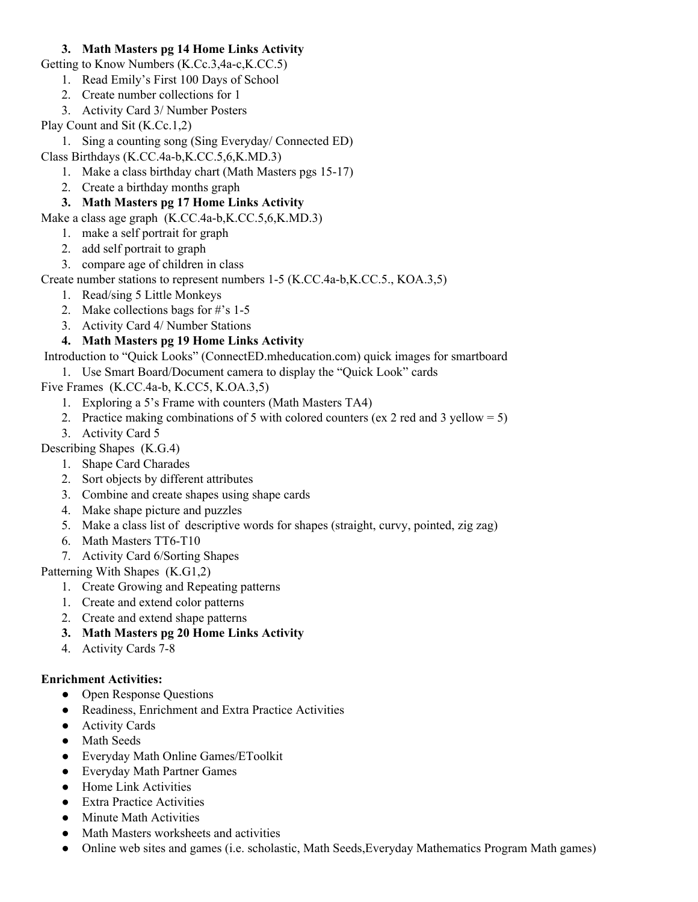## **3. Math Masters pg 14 Home Links Activity**

Getting to Know Numbers (K.Cc.3,4a-c,K.CC.5)

- 1. Read Emily's First 100 Days of School
- 2. Create number collections for 1
- 3. Activity Card 3/ Number Posters
- Play Count and Sit (K.Cc.1,2)
	- 1. Sing a counting song (Sing Everyday/ Connected ED)
- Class Birthdays (K.CC.4a-b,K.CC.5,6,K.MD.3)
	- 1. Make a class birthday chart (Math Masters pgs 15-17)
	- 2. Create a birthday months graph
	- **3. Math Masters pg 17 Home Links Activity**

Make a class age graph (K.CC.4a-b,K.CC.5,6,K.MD.3)

- 1. make a self portrait for graph
- 2. add self portrait to graph
- 3. compare age of children in class

Create number stations to represent numbers 1-5 (K.CC.4a-b,K.CC.5., KOA.3,5)

- 1. Read/sing 5 Little Monkeys
- 2. Make collections bags for #'s 1-5
- 3. Activity Card 4/ Number Stations
- **4. Math Masters pg 19 Home Links Activity**

Introduction to "Quick Looks" (ConnectED.mheducation.com) quick images for smartboard

1. Use Smart Board/Document camera to display the "Quick Look" cards

Five Frames (K.CC.4a-b, K.CC5, K.OA.3,5)

- 1. Exploring a 5's Frame with counters (Math Masters TA4)
- 2. Practice making combinations of 5 with colored counters (ex 2 red and 3 yellow = 5)
- 3. Activity Card 5

Describing Shapes (K.G.4)

- 1. Shape Card Charades
- 2. Sort objects by different attributes
- 3. Combine and create shapes using shape cards
- 4. Make shape picture and puzzles
- 5. Make a class list of descriptive words for shapes (straight, curvy, pointed, zig zag)
- 6. Math Masters TT6-T10
- 7. Activity Card 6/Sorting Shapes

Patterning With Shapes (K.G1,2)

- 1. Create Growing and Repeating patterns
- 1. Create and extend color patterns
- 2. Create and extend shape patterns
- **3. Math Masters pg 20 Home Links Activity**
- 4. Activity Cards 7-8

#### **Enrichment Activities:**

- Open Response Questions
- Readiness, Enrichment and Extra Practice Activities
- Activity Cards
- Math Seeds
- Everyday Math Online Games/EToolkit
- Everyday Math Partner Games
- Home Link Activities
- Extra Practice Activities
- Minute Math Activities
- Math Masters worksheets and activities
- Online web sites and games (i.e. scholastic, Math Seeds, Everyday Mathematics Program Math games)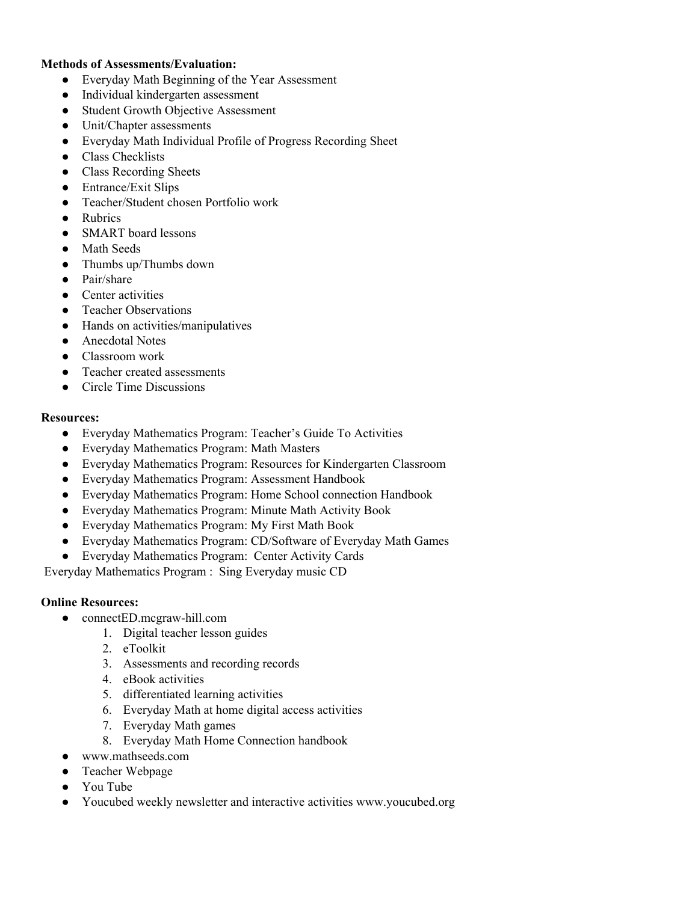## **Methods of Assessments/Evaluation:**

- Everyday Math Beginning of the Year Assessment
- Individual kindergarten assessment
- Student Growth Objective Assessment
- Unit/Chapter assessments
- Everyday Math Individual Profile of Progress Recording Sheet
- Class Checklists
- Class Recording Sheets
- Entrance/Exit Slips
- Teacher/Student chosen Portfolio work
- Rubrics
- SMART board lessons
- Math Seeds
- Thumbs up/Thumbs down
- Pair/share
- Center activities
- Teacher Observations
- Hands on activities/manipulatives
- Anecdotal Notes
- Classroom work
- Teacher created assessments
- Circle Time Discussions

#### **Resources:**

- Everyday Mathematics Program: Teacher's Guide To Activities
- Everyday Mathematics Program: Math Masters
- Everyday Mathematics Program: Resources for Kindergarten Classroom
- Everyday Mathematics Program: Assessment Handbook
- Everyday Mathematics Program: Home School connection Handbook
- Everyday Mathematics Program: Minute Math Activity Book
- Everyday Mathematics Program: My First Math Book
- Everyday Mathematics Program: CD/Software of Everyday Math Games
- Everyday Mathematics Program: Center Activity Cards

Everyday Mathematics Program : Sing Everyday music CD

#### **Online Resources:**

- connectED.mcgraw-hill.com
	- 1. Digital teacher lesson guides
	- 2. eToolkit
	- 3. Assessments and recording records
	- 4. eBook activities
	- 5. differentiated learning activities
	- 6. Everyday Math at home digital access activities
	- 7. Everyday Math games
	- 8. Everyday Math Home Connection handbook
- www.mathseeds.com
- Teacher Webpage
- You Tube
- Youcubed weekly newsletter and interactive activities www.youcubed.org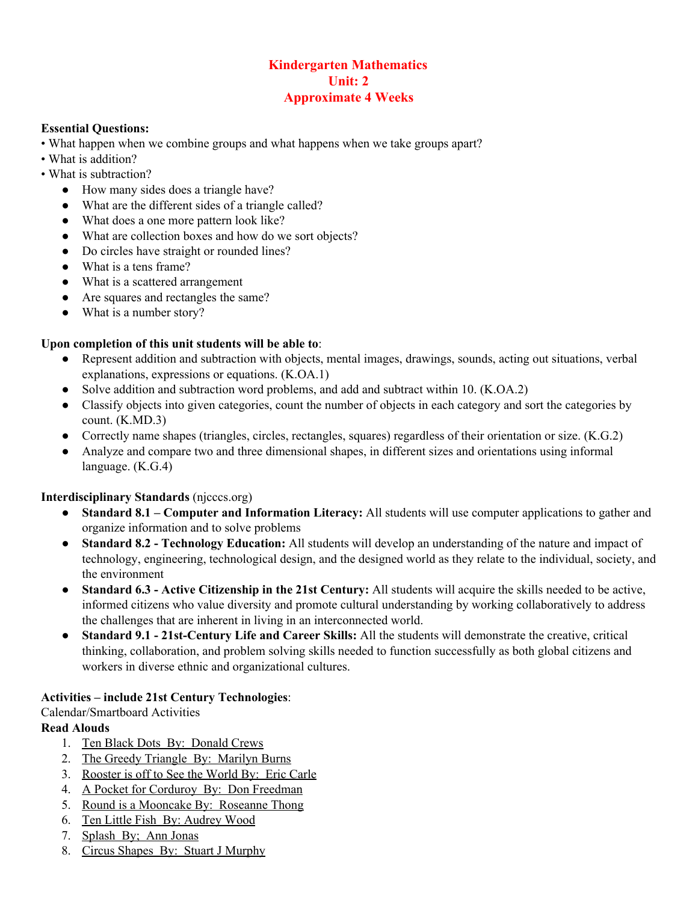## **Kindergarten Mathematics Unit: 2 Approximate 4 Weeks**

#### **Essential Questions:**

- What happen when we combine groups and what happens when we take groups apart?
- What is addition?
- What is subtraction?
	- How many sides does a triangle have?
	- What are the different sides of a triangle called?
	- What does a one more pattern look like?
	- What are collection boxes and how do we sort objects?
	- Do circles have straight or rounded lines?
	- What is a tens frame?
	- What is a scattered arrangement
	- Are squares and rectangles the same?
	- What is a number story?

## **Upon completion of this unit students will be able to**:

- Represent addition and subtraction with objects, mental images, drawings, sounds, acting out situations, verbal explanations, expressions or equations. (K.OA.1)
- Solve addition and subtraction word problems, and add and subtract within 10. (K.OA.2)
- Classify objects into given categories, count the number of objects in each category and sort the categories by count. (K.MD.3)
- Correctly name shapes (triangles, circles, rectangles, squares) regardless of their orientation or size. (K.G.2)
- Analyze and compare two and three dimensional shapes, in different sizes and orientations using informal language. (K.G.4)

#### **Interdisciplinary Standards** (njcccs.org)

- **Standard 8.1 Computer and Information Literacy:** All students will use computer applications to gather and organize information and to solve problems
- **Standard 8.2 - Technology Education:** All students will develop an understanding of the nature and impact of technology, engineering, technological design, and the designed world as they relate to the individual, society, and the environment
- **Standard 6.3 - Active Citizenship in the 21st Century:** All students will acquire the skills needed to be active, informed citizens who value diversity and promote cultural understanding by working collaboratively to address the challenges that are inherent in living in an interconnected world.
- **Standard 9.1 - 21st-Century Life and Career Skills:** All the students will demonstrate the creative, critical thinking, collaboration, and problem solving skills needed to function successfully as both global citizens and workers in diverse ethnic and organizational cultures.

#### **Activities – include 21st Century Technologies**:

Calendar/Smartboard Activities

## **Read Alouds**

- 1. Ten Black Dots By: Donald Crews
- 2. The Greedy Triangle By: Marilyn Burns
- 3. Rooster is off to See the World By: Eric Carle
- 4. A Pocket for Corduroy By: Don Freedman
- 5. Round is a Mooncake By: Roseanne Thong
- 6. Ten Little Fish By: Audrey Wood
- 7. Splash By; Ann Jonas
- 8. Circus Shapes By: Stuart J Murphy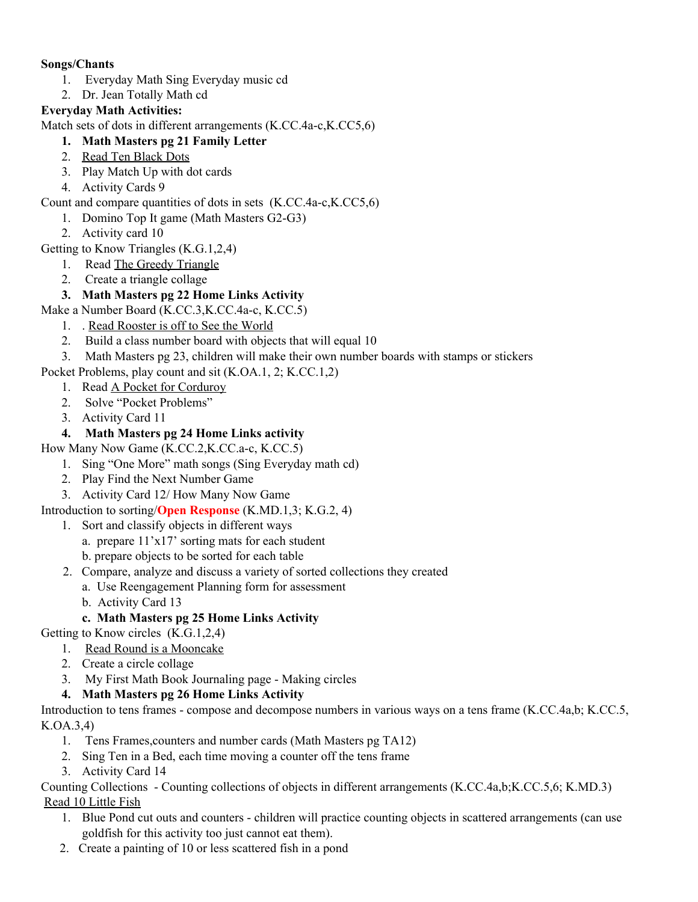## **Songs/Chants**

- 1. Everyday Math Sing Everyday music cd
- 2. Dr. Jean Totally Math cd

## **Everyday Math Activities:**

Match sets of dots in different arrangements (K.CC.4a-c,K.CC5,6)

- **1. Math Masters pg 21 Family Letter**
- 2. Read Ten Black Dots
- 3. Play Match Up with dot cards
- 4. Activity Cards 9

## Count and compare quantities of dots in sets (K.CC.4a-c,K.CC5,6)

- 1. Domino Top It game (Math Masters G2-G3)
- 2. Activity card 10

Getting to Know Triangles (K.G.1,2,4)

- 1. Read The Greedy Triangle
- 2. Create a triangle collage

## **3. Math Masters pg 22 Home Links Activity**

Make a Number Board (K.CC.3,K.CC.4a-c, K.CC.5)

- 1. . Read Rooster is off to See the World
- 2. Build a class number board with objects that will equal 10
- 3. Math Masters pg 23, children will make their own number boards with stamps or stickers
- Pocket Problems, play count and sit (K.OA.1, 2; K.CC.1,2)
	- 1. Read A Pocket for Corduroy
	- 2. Solve "Pocket Problems"
	- 3. Activity Card 11

## **4. Math Masters pg 24 Home Links activity**

How Many Now Game (K.CC.2,K.CC.a-c, K.CC.5)

- 1. Sing "One More" math songs (Sing Everyday math cd)
- 2. Play Find the Next Number Game
- 3. Activity Card 12/ How Many Now Game

Introduction to sorting/**Open Response** (K.MD.1,3; K.G.2, 4)

- 1. Sort and classify objects in different ways
	- a. prepare 11'x17' sorting mats for each student
	- b. prepare objects to be sorted for each table
- 2. Compare, analyze and discuss a variety of sorted collections they created
	- a. Use Reengagement Planning form for assessment
	- b. Activity Card 13

## **c. Math Masters pg 25 Home Links Activity**

- Getting to Know circles (K.G.1,2,4)
	- 1. Read Round is a Mooncake
	- 2. Create a circle collage
	- 3. My First Math Book Journaling page Making circles

## **4. Math Masters pg 26 Home Links Activity**

Introduction to tens frames - compose and decompose numbers in various ways on a tens frame (K.CC.4a,b; K.CC.5, K.OA.3,4)

- 1. Tens Frames,counters and number cards (Math Masters pg TA12)
- 2. Sing Ten in a Bed, each time moving a counter off the tens frame
- 3. Activity Card 14

Counting Collections - Counting collections of objects in different arrangements (K.CC.4a,b;K.CC.5,6; K.MD.3) Read 10 Little Fish

- 1. Blue Pond cut outs and counters children will practice counting objects in scattered arrangements (can use goldfish for this activity too just cannot eat them).
- 2. Create a painting of 10 or less scattered fish in a pond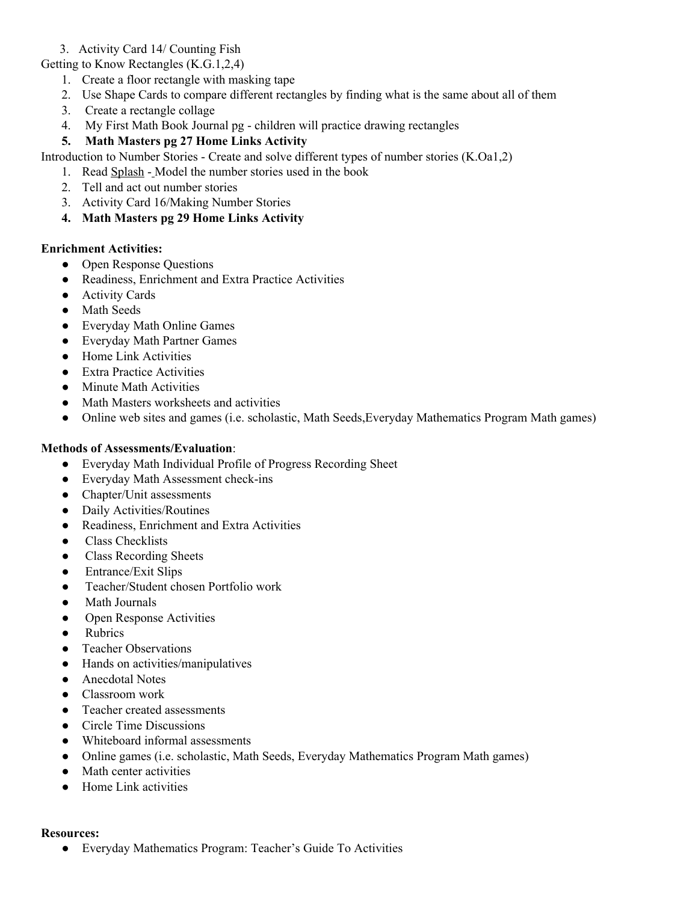#### 3. Activity Card 14/ Counting Fish

Getting to Know Rectangles (K.G.1,2,4)

- 1. Create a floor rectangle with masking tape
- 2. Use Shape Cards to compare different rectangles by finding what is the same about all of them
- 3. Create a rectangle collage
- 4. My First Math Book Journal pg children will practice drawing rectangles
- **5. Math Masters pg 27 Home Links Activity**

Introduction to Number Stories - Create and solve different types of number stories (K.Oa1,2)

- 1. Read Splash Model the number stories used in the book
- 2. Tell and act out number stories
- 3. Activity Card 16/Making Number Stories
- **4. Math Masters pg 29 Home Links Activity**

#### **Enrichment Activities:**

- Open Response Questions
- Readiness, Enrichment and Extra Practice Activities
- Activity Cards
- Math Seeds
- Everyday Math Online Games
- Everyday Math Partner Games
- Home Link Activities
- Extra Practice Activities
- Minute Math Activities
- Math Masters worksheets and activities
- Online web sites and games (i.e. scholastic, Math Seeds, Everyday Mathematics Program Math games)

## **Methods of Assessments/Evaluation**:

- Everyday Math Individual Profile of Progress Recording Sheet
- Everyday Math Assessment check-ins
- Chapter/Unit assessments
- Daily Activities/Routines
- Readiness, Enrichment and Extra Activities
- Class Checklists
- Class Recording Sheets
- Entrance/Exit Slips
- Teacher/Student chosen Portfolio work
- **Math Journals**
- Open Response Activities
- Rubrics
- Teacher Observations
- Hands on activities/manipulatives
- Anecdotal Notes
- Classroom work
- Teacher created assessments
- Circle Time Discussions
- Whiteboard informal assessments
- Online games (i.e. scholastic, Math Seeds, Everyday Mathematics Program Math games)
- Math center activities
- Home Link activities

#### **Resources:**

● Everyday Mathematics Program: Teacher's Guide To Activities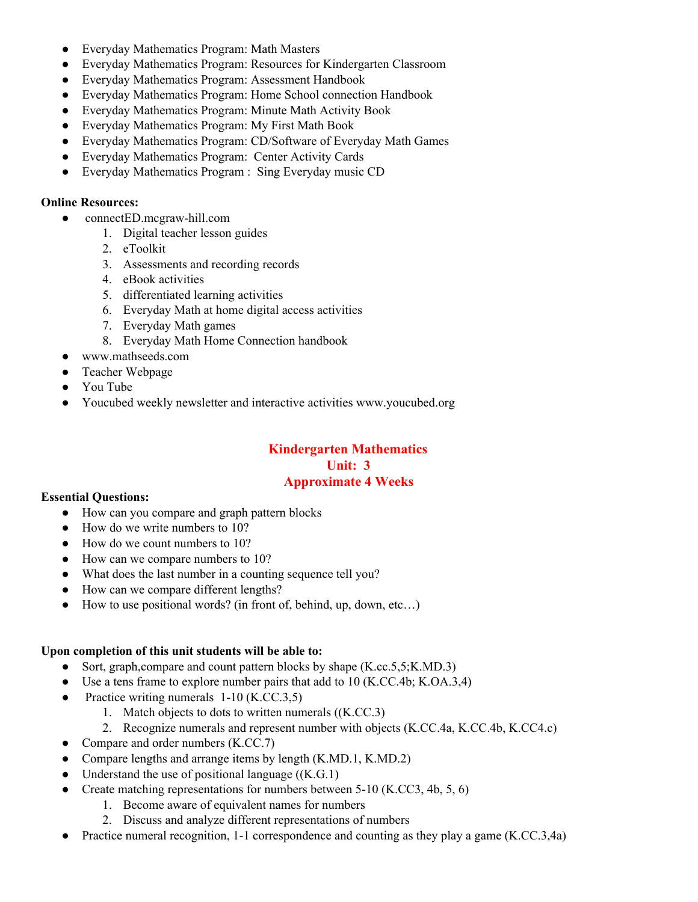- Everyday Mathematics Program: Math Masters
- Everyday Mathematics Program: Resources for Kindergarten Classroom
- Everyday Mathematics Program: Assessment Handbook
- Everyday Mathematics Program: Home School connection Handbook
- Everyday Mathematics Program: Minute Math Activity Book
- Everyday Mathematics Program: My First Math Book
- Everyday Mathematics Program: CD/Software of Everyday Math Games
- Everyday Mathematics Program: Center Activity Cards
- Everyday Mathematics Program : Sing Everyday music CD

## **Online Resources:**<br>**CONDECTED**

- connectED.mcgraw-hill.com
	- 1. Digital teacher lesson guides
	- 2. eToolkit
	- 3. Assessments and recording records
	- 4. eBook activities
	- 5. differentiated learning activities
	- 6. Everyday Math at home digital access activities
	- 7. Everyday Math games
	- 8. Everyday Math Home Connection handbook
- www.mathseeds.com
- Teacher Webpage
- You Tube
- Youcubed weekly newsletter and interactive activities www.youcubed.org

## **Kindergarten Mathematics Unit: 3 Approximate 4 Weeks**

#### **Essential Questions:**

- How can you compare and graph pattern blocks
- How do we write numbers to 10?
- How do we count numbers to 10?
- How can we compare numbers to 10?
- What does the last number in a counting sequence tell you?
- How can we compare different lengths?
- $\bullet$  How to use positional words? (in front of, behind, up, down, etc...)

#### **Upon completion of this unit students will be able to:**

- Sort, graph,compare and count pattern blocks by shape (K.cc.5,5; K.MD.3)
- Use a tens frame to explore number pairs that add to  $10$  (K.CC.4b; K.OA.3,4)
- Practice writing numerals 1-10 (K.CC.3,5)
	- 1. Match objects to dots to written numerals ((K.CC.3)
	- 2. Recognize numerals and represent number with objects (K.CC.4a, K.CC.4b, K.CC4.c)
- Compare and order numbers (K.CC.7)
- Compare lengths and arrange items by length (K.MD.1, K.MD.2)
- Understand the use of positional language  $((K.G.1))$
- Create matching representations for numbers between 5-10 (K.CC3, 4b, 5, 6)
	- 1. Become aware of equivalent names for numbers
	- 2. Discuss and analyze different representations of numbers
- Practice numeral recognition, 1-1 correspondence and counting as they play a game  $(K.C.C.3,4a)$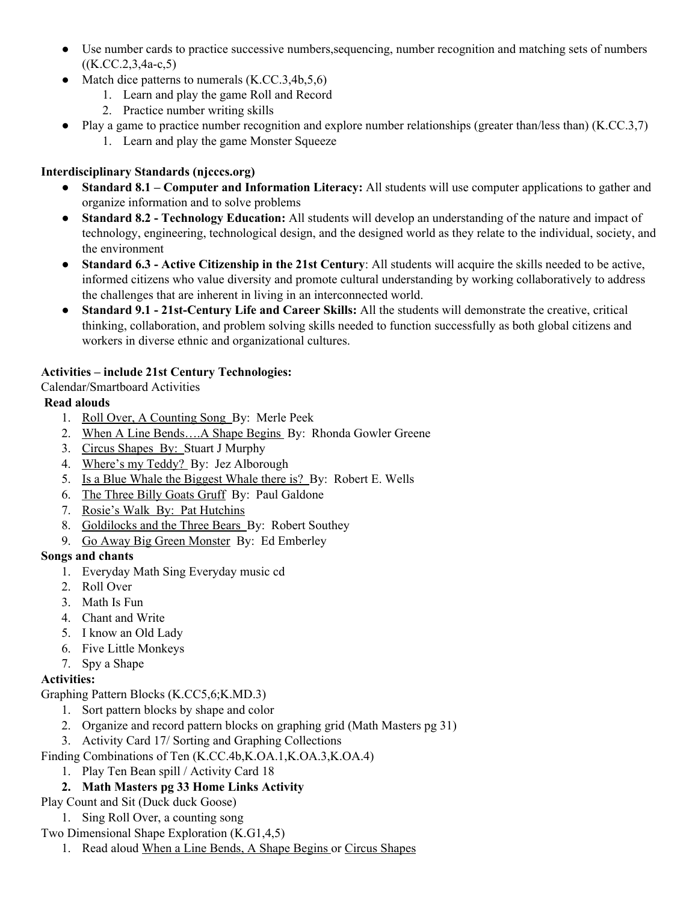- Use number cards to practice successive numbers,sequencing, number recognition and matching sets of numbers  $((K.CC.2, 3, 4a-c.5))$
- Match dice patterns to numerals  $(K.CC.3,4b,5,6)$ 
	- 1. Learn and play the game Roll and Record
	- 2. Practice number writing skills
- Play a game to practice number recognition and explore number relationships (greater than/less than) (K.CC.3,7)
	- 1. Learn and play the game Monster Squeeze

# **Interdisciplinary Standards (njcccs.org)**

- **Standard 8.1 – Computer and Information Literacy:** All students will use computer applications to gather and organize information and to solve problems
- **Standard 8.2 - Technology Education:** All students will develop an understanding of the nature and impact of technology, engineering, technological design, and the designed world as they relate to the individual, society, and the environment
- **Standard 6.3 - Active Citizenship in the 21st Century**: All students will acquire the skills needed to be active, informed citizens who value diversity and promote cultural understanding by working collaboratively to address the challenges that are inherent in living in an interconnected world.
- **Standard 9.1 - 21st-Century Life and Career Skills:** All the students will demonstrate the creative, critical thinking, collaboration, and problem solving skills needed to function successfully as both global citizens and workers in diverse ethnic and organizational cultures.

## **Activities – include 21st Century Technologies:**

Calendar/Smartboard Activities

## **Read alouds**

- 1. Roll Over, A Counting Song By: Merle Peek
- 2. When A Line Bends....A Shape Begins By: Rhonda Gowler Greene
- 3. Circus Shapes By: Stuart J Murphy
- 4. Where's my Teddy? By: Jez Alborough
- 5. Is a Blue Whale the Biggest Whale there is? By: Robert E. Wells
- 6. The Three Billy Goats Gruff By: Paul Galdone
- 7. Rosie's Walk By: Pat Hutchins
- 8. Goldilocks and the Three Bears By: Robert Southey
- 9. Go Away Big Green Monster By: Ed Emberley

## **Songs and chants**

- 1. Everyday Math Sing Everyday music cd
- 2. Roll Over
- 3. Math Is Fun
- 4. Chant and Write
- 5. I know an Old Lady
- 6. Five Little Monkeys
- 7. Spy a Shape

## **Activities:**

Graphing Pattern Blocks (K.CC5,6;K.MD.3)

- 1. Sort pattern blocks by shape and color
- 2. Organize and record pattern blocks on graphing grid (Math Masters pg 31)
- 3. Activity Card 17/ Sorting and Graphing Collections
- Finding Combinations of Ten (K.CC.4b,K.OA.1,K.OA.3,K.OA.4)
	- 1. Play Ten Bean spill / Activity Card 18

## **2. Math Masters pg 33 Home Links Activity**

- Play Count and Sit (Duck duck Goose)
	- 1. Sing Roll Over, a counting song
- Two Dimensional Shape Exploration (K.G1,4,5)
	- 1. Read aloud When a Line Bends, A Shape Begins or Circus Shapes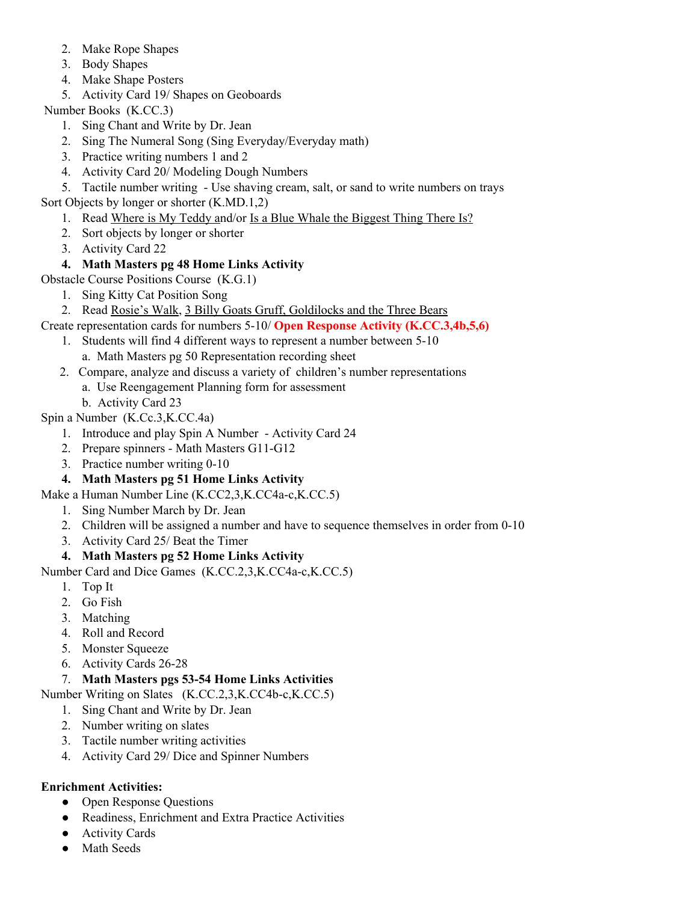- 2. Make Rope Shapes
- 3. Body Shapes
- 4. Make Shape Posters
- 5. Activity Card 19/ Shapes on Geoboards

Number Books (K.CC.3)

- 1. Sing Chant and Write by Dr. Jean
- 2. Sing The Numeral Song (Sing Everyday/Everyday math)
- 3. Practice writing numbers 1 and 2
- 4. Activity Card 20/ Modeling Dough Numbers
- 5. Tactile number writing Use shaving cream, salt, or sand to write numbers on trays
- Sort Objects by longer or shorter (K.MD.1,2)
	- 1. Read Where is My Teddy and/or Is a Blue Whale the Biggest Thing There Is?
	- 2. Sort objects by longer or shorter
	- 3. Activity Card 22

## **4. Math Masters pg 48 Home Links Activity**

- Obstacle Course Positions Course (K.G.1)
	- 1. Sing Kitty Cat Position Song
	- 2. Read Rosie's Walk, 3 Billy Goats Gruff, Goldilocks and the Three Bears
- Create representation cards for numbers 5-10/ **Open Response Activity (K.CC.3,4b,5,6)**
	- 1. Students will find 4 different ways to represent a number between 5-10 a. Math Masters pg 50 Representation recording sheet
	- 2. Compare, analyze and discuss a variety of children's number representations
		- a. Use Reengagement Planning form for assessment
			- b. Activity Card 23

## Spin a Number (K.Cc.3,K.CC.4a)

- 1. Introduce and play Spin A Number Activity Card 24
- 2. Prepare spinners Math Masters G11-G12
- 3. Practice number writing 0-10
- **4. Math Masters pg 51 Home Links Activity**
- Make a Human Number Line (K.CC2,3,K.CC4a-c,K.CC.5)
	- 1. Sing Number March by Dr. Jean
	- 2. Children will be assigned a number and have to sequence themselves in order from 0-10
	- 3. Activity Card 25/ Beat the Timer

## **4. Math Masters pg 52 Home Links Activity**

Number Card and Dice Games (K.CC.2,3,K.CC4a-c,K.CC.5)

- 1. Top It
- 2. Go Fish
- 3. Matching
- 4. Roll and Record
- 5. Monster Squeeze
- 6. Activity Cards 26-28

## 7. **Math Masters pgs 53-54 Home Links Activities**

Number Writing on Slates (K.CC.2,3,K.CC4b-c,K.CC.5)

- 1. Sing Chant and Write by Dr. Jean
- 2. Number writing on slates
- 3. Tactile number writing activities
- 4. Activity Card 29/ Dice and Spinner Numbers

## **Enrichment Activities:**

- Open Response Questions
- Readiness, Enrichment and Extra Practice Activities
- Activity Cards
- Math Seeds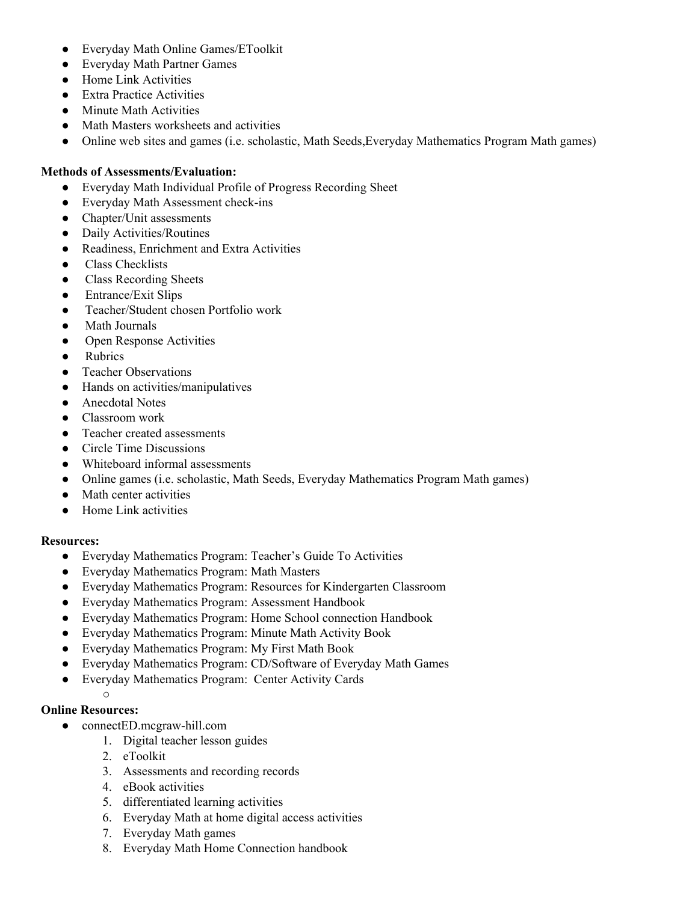- Everyday Math Online Games/EToolkit
- Everyday Math Partner Games
- Home Link Activities
- Extra Practice Activities
- Minute Math Activities
- Math Masters worksheets and activities
- Online web sites and games (i.e. scholastic, Math Seeds,Everyday Mathematics Program Math games)

## **Methods of Assessments/Evaluation:**<br>• Everyday Math Individual Prof

- Everyday Math Individual Profile of Progress Recording Sheet
- Everyday Math Assessment check-ins
- Chapter/Unit assessments
- Daily Activities/Routines
- Readiness, Enrichment and Extra Activities
- Class Checklists
- Class Recording Sheets
- Entrance/Exit Slips
- Teacher/Student chosen Portfolio work
- **Math Journals**
- Open Response Activities
- Rubrics
- Teacher Observations
- Hands on activities/manipulatives
- Anecdotal Notes
- Classroom work
- Teacher created assessments
- Circle Time Discussions
- Whiteboard informal assessments
- Online games (i.e. scholastic, Math Seeds, Everyday Mathematics Program Math games)
- Math center activities
- Home Link activities

#### **Resources:**

- Everyday Mathematics Program: Teacher's Guide To Activities
- Everyday Mathematics Program: Math Masters
- Everyday Mathematics Program: Resources for Kindergarten Classroom
- Everyday Mathematics Program: Assessment Handbook
- Everyday Mathematics Program: Home School connection Handbook
- Everyday Mathematics Program: Minute Math Activity Book
- Everyday Mathematics Program: My First Math Book
- Everyday Mathematics Program: CD/Software of Everyday Math Games
- Everyday Mathematics Program: Center Activity Cards

#### **Online Resources:**

 $\bigcap$ 

- connectED.mcgraw-hill.com
	- 1. Digital teacher lesson guides
	- 2. eToolkit
	- 3. Assessments and recording records
	- 4. eBook activities
	- 5. differentiated learning activities
	- 6. Everyday Math at home digital access activities
	- 7. Everyday Math games
	- 8. Everyday Math Home Connection handbook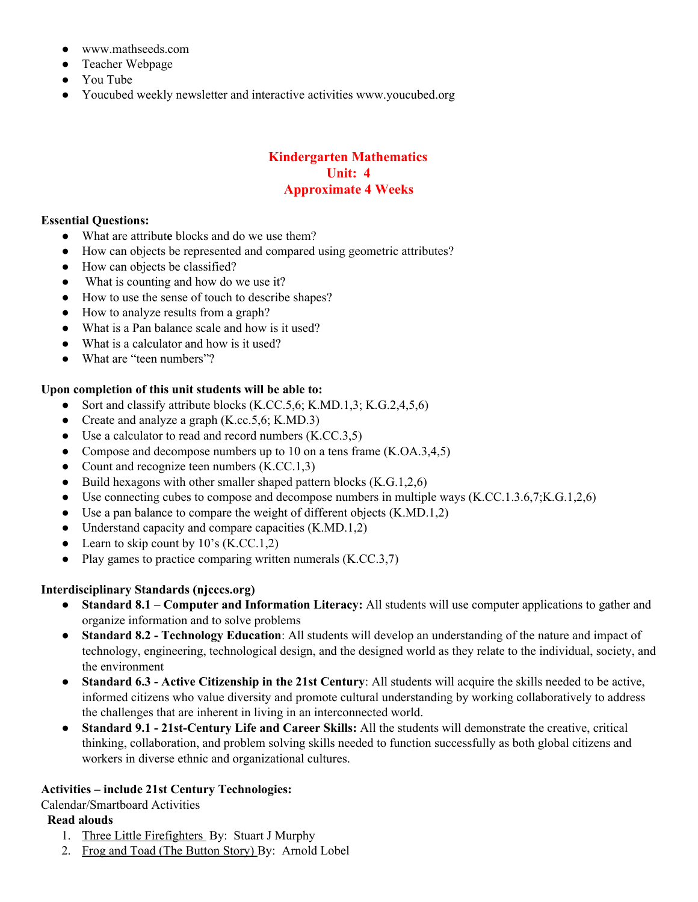- www.mathseeds.com
- Teacher Webpage
- You Tube
- Youcubed weekly newsletter and interactive activities www.youcubed.org

#### **Kindergarten Mathematics Unit: 4 Approximate 4 Weeks**

#### **Essential Questions:**

- **●** What are attribut**e** blocks and do we use them?
- How can objects be represented and compared using geometric attributes?
- How can objects be classified?
- What is counting and how do we use it?
- How to use the sense of touch to describe shapes?
- How to analyze results from a graph?
- What is a Pan balance scale and how is it used?
- What is a calculator and how is it used?
- What are "teen numbers"?

#### **Upon completion of this unit students will be able to:**

- Sort and classify attribute blocks  $(K.CC.5, 6; K.MD.1, 3; K.G.2, 4, 5, 6)$
- Create and analyze a graph  $(K_{\cdot}cc_{\cdot}5,6; K_{\cdot}MD.3)$
- Use a calculator to read and record numbers  $(K.CC.3,5)$
- Compose and decompose numbers up to 10 on a tens frame (K.OA.3,4,5)
- Count and recognize teen numbers (K.CC.1,3)
- Build hexagons with other smaller shaped pattern blocks  $(K.G.1,2,6)$
- Use connecting cubes to compose and decompose numbers in multiple ways  $(K.CC.1.3.6,7;K.G.1.2,6)$
- Use a pan balance to compare the weight of different objects  $(K.MD.1,2)$
- Understand capacity and compare capacities  $(K.MD.1,2)$
- Learn to skip count by  $10^{\circ}$ s (K.CC.1,2)
- Play games to practice comparing written numerals  $(K.CC.3,7)$

## **Interdisciplinary Standards (njcccs.org)**

- **Standard 8.1 – Computer and Information Literacy:** All students will use computer applications to gather and organize information and to solve problems
- **Standard 8.2 - Technology Education**: All students will develop an understanding of the nature and impact of technology, engineering, technological design, and the designed world as they relate to the individual, society, and the environment
- **Standard 6.3 - Active Citizenship in the 21st Century**: All students will acquire the skills needed to be active, informed citizens who value diversity and promote cultural understanding by working collaboratively to address the challenges that are inherent in living in an interconnected world.
- **Standard 9.1 - 21st-Century Life and Career Skills:** All the students will demonstrate the creative, critical thinking, collaboration, and problem solving skills needed to function successfully as both global citizens and workers in diverse ethnic and organizational cultures.

## **Activities – include 21st Century Technologies:**

Calendar/Smartboard Activities

#### **Read alouds**

- 1. Three Little Firefighters By: Stuart J Murphy
- 2. Frog and Toad (The Button Story) By: Arnold Lobel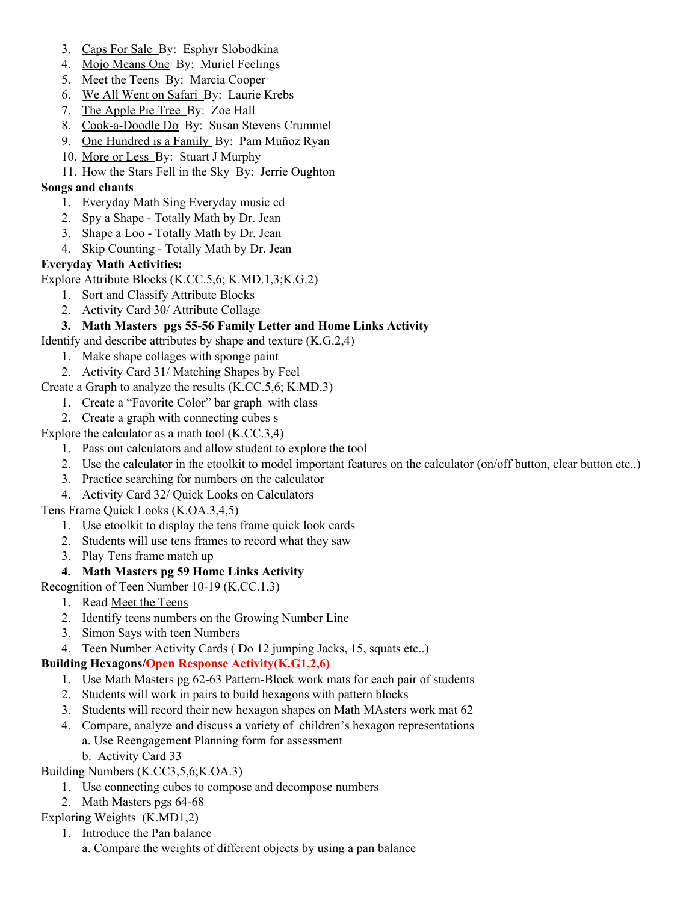- 3. Caps For Sale By: Esphyr Slobodkina
- 4. Mojo Means One By: Muriel Feelings
- 5. Meet the Teens By: Marcia Cooper
- 6. We All Went on Safari By: Laurie Krebs
- 7. The Apple Pie Tree By: Zoe Hall
- 8. Cook-a-Doodle Do By: Susan Stevens Crummel
- 9. One Hundred is a Family By: Pam Muñoz Ryan
- 10. More or Less By: Stuart J Murphy
- 11. How the Stars Fell in the Sky By: Jerrie Oughton

#### **Songs and chants**

- 1. Everyday Math Sing Everyday music cd
- 2. Spy a Shape Totally Math by Dr. Jean
- 3. Shape a Loo Totally Math by Dr. Jean
- 4. Skip Counting Totally Math by Dr. Jean

#### **Everyday Math Activities:**

Explore Attribute Blocks (K.CC.5,6; K.MD.1,3;K.G.2)

- 1. Sort and Classify Attribute Blocks
- 2. Activity Card 30/ Attribute Collage

## **3. Math Masters pgs 55-56 Family Letter and Home Links Activity**

Identify and describe attributes by shape and texture (K.G.2,4)

- 1. Make shape collages with sponge paint
- 2. Activity Card 31/ Matching Shapes by Feel
- Create a Graph to analyze the results (K.CC.5,6; K.MD.3)
	- 1. Create a "Favorite Color" bar graph with class
	- 2. Create a graph with connecting cubes s

Explore the calculator as a math tool (K.CC.3,4)

- 1. Pass out calculators and allow student to explore the tool
- 2. Use the calculator in the etoolkit to model important features on the calculator (on/off button, clear button etc..)
- 3. Practice searching for numbers on the calculator
- 4. Activity Card 32/ Quick Looks on Calculators

#### Tens Frame Quick Looks (K.OA.3,4,5)

- 1. Use etoolkit to display the tens frame quick look cards
- 2. Students will use tens frames to record what they saw
- 3. Play Tens frame match up

#### **4. Math Masters pg 59 Home Links Activity**

Recognition of Teen Number 10-19 (K.CC.1,3)

- 1. Read Meet the Teens
- 2. Identify teens numbers on the Growing Number Line
- 3. Simon Says with teen Numbers
- 4. Teen Number Activity Cards ( Do 12 jumping Jacks, 15, squats etc..)

#### **Building Hexagons/Open Response Activity(K.G1,2,6)**

- 1. Use Math Masters pg 62-63 Pattern-Block work mats for each pair of students
- 2. Students will work in pairs to build hexagons with pattern blocks
- 3. Students will record their new hexagon shapes on Math MAsters work mat 62
- 4. Compare, analyze and discuss a variety of children's hexagon representations
	- a. Use Reengagement Planning form for assessment
	- b. Activity Card 33

## Building Numbers (K.CC3,5,6;K.OA.3)

- 1. Use connecting cubes to compose and decompose numbers
- 2. Math Masters pgs 64-68
- Exploring Weights (K.MD1,2)
	- 1. Introduce the Pan balance
		- a. Compare the weights of different objects by using a pan balance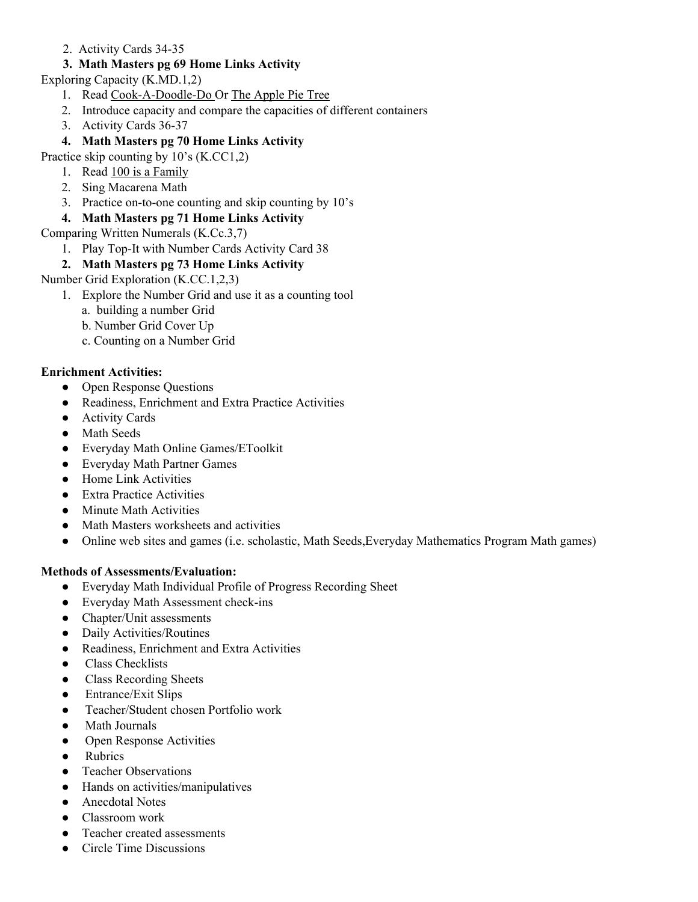2. Activity Cards 34-35

## **3. Math Masters pg 69 Home Links Activity**

Exploring Capacity (K.MD.1,2)

- 1. Read Cook-A-Doodle-Do Or The Apple Pie Tree
- 2. Introduce capacity and compare the capacities of different containers
- 3. Activity Cards 36-37

## **4. Math Masters pg 70 Home Links Activity**

Practice skip counting by 10's (K.CC1,2)

- 1. Read 100 is a Family
- 2. Sing Macarena Math
- 3. Practice on-to-one counting and skip counting by 10's

## **4. Math Masters pg 71 Home Links Activity**

Comparing Written Numerals (K.Cc.3,7)

1. Play Top-It with Number Cards Activity Card 38

## **2. Math Masters pg 73 Home Links Activity**

Number Grid Exploration (K.CC.1,2,3)

- 1. Explore the Number Grid and use it as a counting tool
	- a. building a number Grid
	- b. Number Grid Cover Up
	- c. Counting on a Number Grid

## **Enrichment Activities:**

- Open Response Questions
- Readiness, Enrichment and Extra Practice Activities
- Activity Cards
- Math Seeds
- Everyday Math Online Games/EToolkit
- Everyday Math Partner Games
- Home Link Activities
- Extra Practice Activities
- Minute Math Activities
- Math Masters worksheets and activities
- Online web sites and games (i.e. scholastic, Math Seeds, Everyday Mathematics Program Math games)

#### **Methods of Assessments/Evaluation:**

- Everyday Math Individual Profile of Progress Recording Sheet
- Everyday Math Assessment check-ins
- Chapter/Unit assessments
- Daily Activities/Routines
- Readiness, Enrichment and Extra Activities
- Class Checklists
- **Class Recording Sheets**
- Entrance/Exit Slips
- Teacher/Student chosen Portfolio work
- Math Journals
- Open Response Activities
- Rubrics
- Teacher Observations
- Hands on activities/manipulatives
- Anecdotal Notes
- Classroom work
- Teacher created assessments
- Circle Time Discussions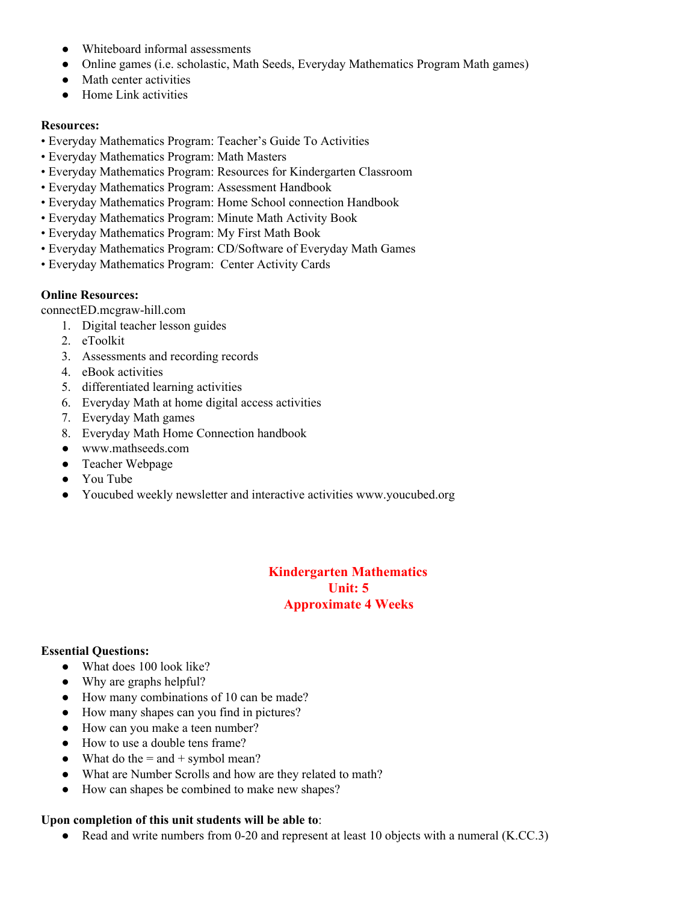- Whiteboard informal assessments
- Online games (i.e. scholastic, Math Seeds, Everyday Mathematics Program Math games)
- Math center activities
- Home Link activities

#### **Resources:**

- Everyday Mathematics Program: Teacher's Guide To Activities
- Everyday Mathematics Program: Math Masters
- Everyday Mathematics Program: Resources for Kindergarten Classroom
- Everyday Mathematics Program: Assessment Handbook
- Everyday Mathematics Program: Home School connection Handbook
- Everyday Mathematics Program: Minute Math Activity Book
- Everyday Mathematics Program: My First Math Book
- Everyday Mathematics Program: CD/Software of Everyday Math Games
- Everyday Mathematics Program: Center Activity Cards

## **Online Resources:**

connectED.mcgraw-hill.com

- 1. Digital teacher lesson guides
- 2. eToolkit
- 3. Assessments and recording records
- 4. eBook activities
- 5. differentiated learning activities
- 6. Everyday Math at home digital access activities
- 7. Everyday Math games
- 8. Everyday Math Home Connection handbook
- www.mathseeds.com
- Teacher Webpage
- You Tube
- Youcubed weekly newsletter and interactive activities www.youcubed.org

## **Kindergarten Mathematics Unit: 5 Approximate 4 Weeks**

## **Essential Questions:**

- What does 100 look like?
- Why are graphs helpful?
- How many combinations of 10 can be made?
- How many shapes can you find in pictures?
- How can you make a teen number?
- How to use a double tens frame?
- What do the  $=$  and  $+$  symbol mean?
- What are Number Scrolls and how are they related to math?
- How can shapes be combined to make new shapes?

#### **Upon completion of this unit students will be able to**:

• Read and write numbers from 0-20 and represent at least 10 objects with a numeral (K.CC.3)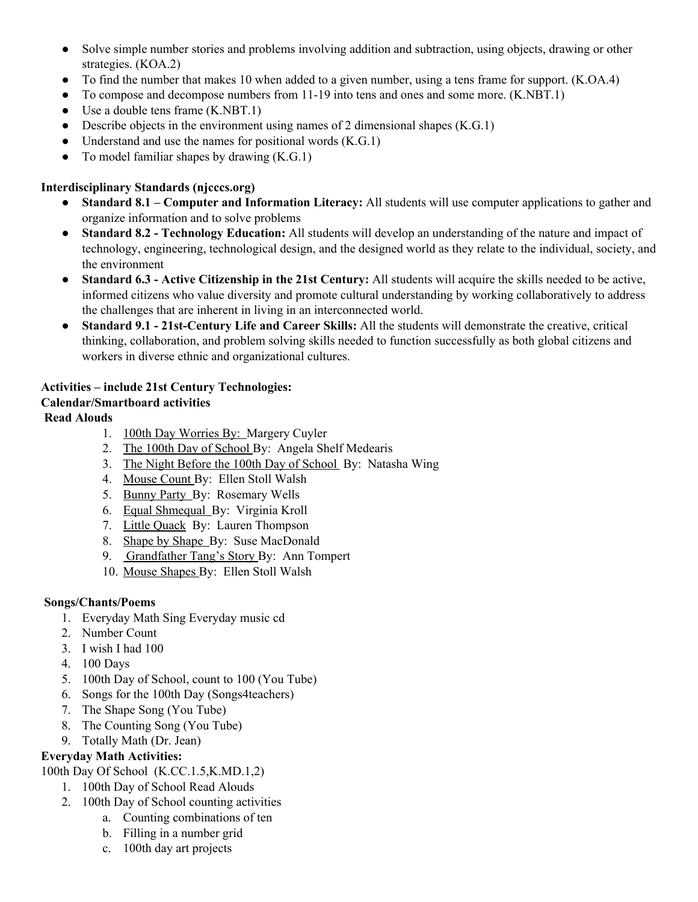- Solve simple number stories and problems involving addition and subtraction, using objects, drawing or other strategies. (KOA.2)
- To find the number that makes 10 when added to a given number, using a tens frame for support. (K.OA.4)
- To compose and decompose numbers from 11-19 into tens and ones and some more. (K.NBT.1)
- Use a double tens frame  $(K.NBT.1)$
- Describe objects in the environment using names of 2 dimensional shapes  $(K.G.1)$
- Understand and use the names for positional words  $(K.G.1)$
- To model familiar shapes by drawing  $(K.G.1)$

## **Interdisciplinary Standards (njcccs.org)**

- **Standard 8.1 – Computer and Information Literacy:** All students will use computer applications to gather and organize information and to solve problems
- **Standard 8.2 - Technology Education:** All students will develop an understanding of the nature and impact of technology, engineering, technological design, and the designed world as they relate to the individual, society, and the environment
- **Standard 6.3 - Active Citizenship in the 21st Century:** All students will acquire the skills needed to be active, informed citizens who value diversity and promote cultural understanding by working collaboratively to address the challenges that are inherent in living in an interconnected world.
- **Standard 9.1 - 21st-Century Life and Career Skills:** All the students will demonstrate the creative, critical thinking, collaboration, and problem solving skills needed to function successfully as both global citizens and workers in diverse ethnic and organizational cultures.

## **Activities – include 21st Century Technologies:**

## **Calendar/Smartboard activities**

## **Read Alouds**

- 1. 100th Day Worries By: Margery Cuyler
- 2. The 100th Day of School By: Angela Shelf Medearis
- 3. The Night Before the 100th Day of School By: Natasha Wing
- 4. Mouse Count By: Ellen Stoll Walsh
- 5. Bunny Party By: Rosemary Wells
- 6. Equal Shmequal By: Virginia Kroll
- 7. Little Quack By: Lauren Thompson
- 8. Shape by Shape By: Suse MacDonald
- 9. Grandfather Tang's Story By: Ann Tompert
- 10. Mouse Shapes By: Ellen Stoll Walsh

## **Songs/Chants/Poems**

- 1. Everyday Math Sing Everyday music cd
- 2. Number Count
- 3. I wish I had 100
- 4. 100 Days
- 5. 100th Day of School, count to 100 (You Tube)
- 6. Songs for the 100th Day (Songs4teachers)
- 7. The Shape Song (You Tube)
- 8. The Counting Song (You Tube)
- 9. Totally Math (Dr. Jean)

## **Everyday Math Activities:**

100th Day Of School (K.CC.1.5,K.MD.1,2)

- 1. 100th Day of School Read Alouds
- 2. 100th Day of School counting activities
	- a. Counting combinations of ten
	- b. Filling in a number grid
	- c. 100th day art projects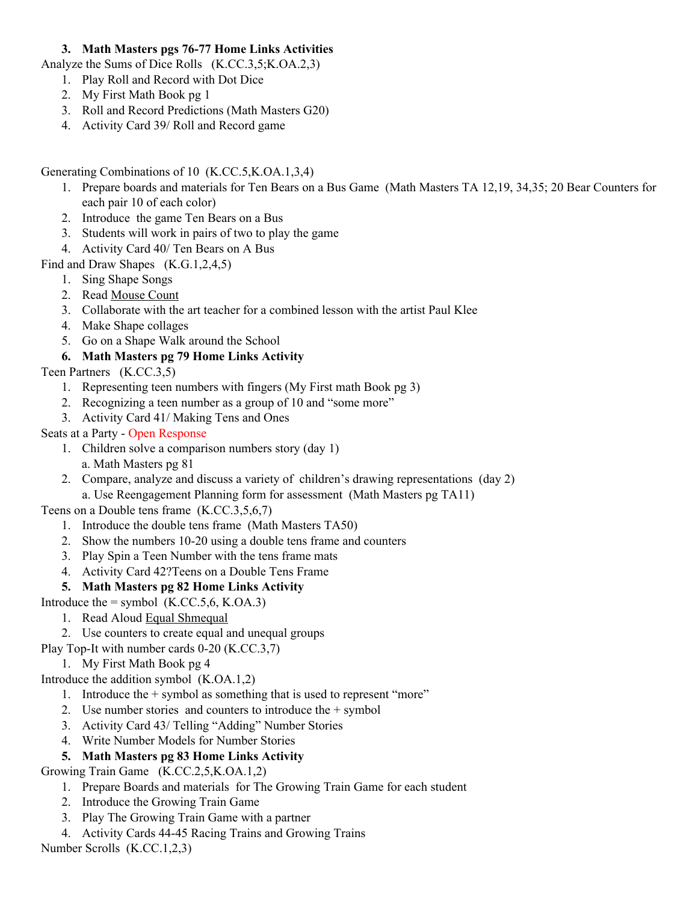## **3. Math Masters pgs 76-77 Home Links Activities**

Analyze the Sums of Dice Rolls (K.CC.3,5;K.OA.2,3)

- 1. Play Roll and Record with Dot Dice
- 2. My First Math Book pg 1
- 3. Roll and Record Predictions (Math Masters G20)
- 4. Activity Card 39/ Roll and Record game

Generating Combinations of 10 (K.CC.5,K.OA.1,3,4)

- 1. Prepare boards and materials for Ten Bears on a Bus Game (Math Masters TA 12,19, 34,35; 20 Bear Counters for each pair 10 of each color)
- 2. Introduce the game Ten Bears on a Bus
- 3. Students will work in pairs of two to play the game
- 4. Activity Card 40/ Ten Bears on A Bus

Find and Draw Shapes (K.G.1,2,4,5)

- 1. Sing Shape Songs
- 2. Read Mouse Count
- 3. Collaborate with the art teacher for a combined lesson with the artist Paul Klee
- 4. Make Shape collages
- 5. Go on a Shape Walk around the School

## **6. Math Masters pg 79 Home Links Activity**

Teen Partners (K.CC.3,5)

- 1. Representing teen numbers with fingers (My First math Book pg 3)
- 2. Recognizing a teen number as a group of 10 and "some more"
- 3. Activity Card 41/ Making Tens and Ones

## Seats at a Party - Open Response

- 1. Children solve a comparison numbers story (day 1)
- a. Math Masters pg 81
- 2. Compare, analyze and discuss a variety of children's drawing representations (day 2) a. Use Reengagement Planning form for assessment (Math Masters pg TA11)

Teens on a Double tens frame (K.CC.3,5,6,7)

- 1. Introduce the double tens frame (Math Masters TA50)
- 2. Show the numbers 10-20 using a double tens frame and counters
- 3. Play Spin a Teen Number with the tens frame mats
- 4. Activity Card 42?Teens on a Double Tens Frame

## **5. Math Masters pg 82 Home Links Activity**

Introduce the  $=$  symbol (K.CC.5,6, K.OA.3)

- 1. Read Aloud Equal Shmequal
- 2. Use counters to create equal and unequal groups
- Play Top-It with number cards 0-20 (K.CC.3,7)
	- 1. My First Math Book pg 4

Introduce the addition symbol (K.OA.1,2)

- 1. Introduce the + symbol as something that is used to represent "more"
- 2. Use number stories and counters to introduce the + symbol
- 3. Activity Card 43/ Telling "Adding" Number Stories
- 4. Write Number Models for Number Stories

## **5. Math Masters pg 83 Home Links Activity**

Growing Train Game (K.CC.2,5,K.OA.1,2)

- 1. Prepare Boards and materials for The Growing Train Game for each student
- 2. Introduce the Growing Train Game
- 3. Play The Growing Train Game with a partner
- 4. Activity Cards 44-45 Racing Trains and Growing Trains

Number Scrolls (K.CC.1,2,3)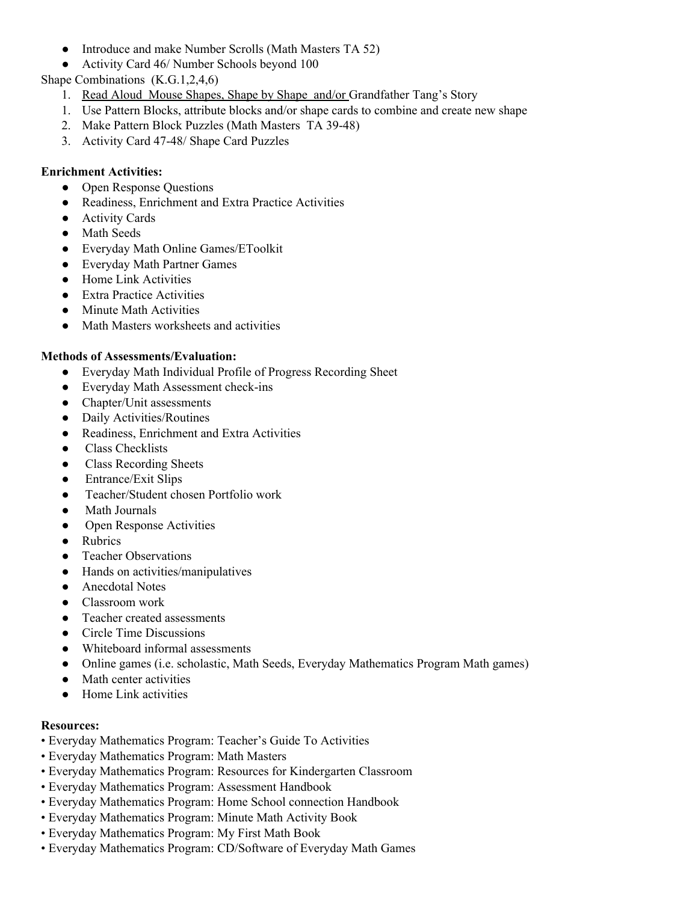- Introduce and make Number Scrolls (Math Masters TA 52)
- Activity Card 46/ Number Schools beyond 100

Shape Combinations (K.G.1,2,4,6)

- 1. Read Aloud Mouse Shapes, Shape by Shape and/or Grandfather Tang's Story
- 1. Use Pattern Blocks, attribute blocks and/or shape cards to combine and create new shape
- 2. Make Pattern Block Puzzles (Math Masters TA 39-48)
- 3. Activity Card 47-48/ Shape Card Puzzles

#### **Enrichment Activities:**

- Open Response Questions
- Readiness, Enrichment and Extra Practice Activities
- Activity Cards
- Math Seeds
- Everyday Math Online Games/EToolkit
- Everyday Math Partner Games
- Home Link Activities
- Extra Practice Activities
- Minute Math Activities
- Math Masters worksheets and activities

#### **Methods of Assessments/Evaluation:**

- Everyday Math Individual Profile of Progress Recording Sheet
- Everyday Math Assessment check-ins
- Chapter/Unit assessments
- Daily Activities/Routines
- Readiness, Enrichment and Extra Activities
- Class Checklists
- Class Recording Sheets
- Entrance/Exit Slips
- Teacher/Student chosen Portfolio work
- Math Journals
- Open Response Activities
- Rubrics
- **Teacher Observations**
- Hands on activities/manipulatives
- Anecdotal Notes
- Classroom work
- Teacher created assessments
- Circle Time Discussions
- Whiteboard informal assessments
- Online games (i.e. scholastic, Math Seeds, Everyday Mathematics Program Math games)
- Math center activities
- Home Link activities

#### **Resources:**

- Everyday Mathematics Program: Teacher's Guide To Activities
- Everyday Mathematics Program: Math Masters
- Everyday Mathematics Program: Resources for Kindergarten Classroom
- Everyday Mathematics Program: Assessment Handbook
- Everyday Mathematics Program: Home School connection Handbook
- Everyday Mathematics Program: Minute Math Activity Book
- Everyday Mathematics Program: My First Math Book
- Everyday Mathematics Program: CD/Software of Everyday Math Games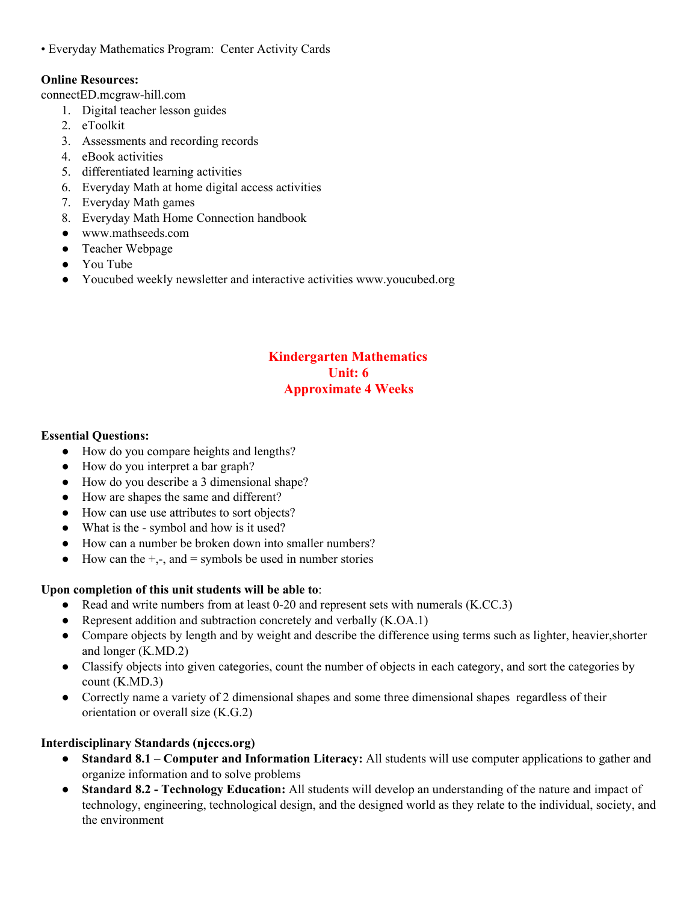• Everyday Mathematics Program: Center Activity Cards

#### **Online Resources:**

connectED.mcgraw-hill.com

- 1. Digital teacher lesson guides
- 2. eToolkit
- 3. Assessments and recording records
- 4. eBook activities
- 5. differentiated learning activities
- 6. Everyday Math at home digital access activities
- 7. Everyday Math games
- 8. Everyday Math Home Connection handbook
- www.mathseeds.com
- Teacher Webpage
- You Tube
- Youcubed weekly newsletter and interactive activities www.youcubed.org

## **Kindergarten Mathematics Unit: 6 Approximate 4 Weeks**

#### **Essential Questions:**

- How do you compare heights and lengths?
- How do you interpret a bar graph?
- How do you describe a 3 dimensional shape?
- How are shapes the same and different?
- How can use use attributes to sort objects?
- What is the symbol and how is it used?
- How can a number be broken down into smaller numbers?
- $\bullet$  How can the  $+,-$ , and  $=$  symbols be used in number stories

#### **Upon completion of this unit students will be able to**:

- Read and write numbers from at least 0-20 and represent sets with numerals (K.CC.3)
- Represent addition and subtraction concretely and verbally (K.OA.1)
- Compare objects by length and by weight and describe the difference using terms such as lighter, heavier, shorter and longer (K.MD.2)
- Classify objects into given categories, count the number of objects in each category, and sort the categories by count (K.MD.3)
- Correctly name a variety of 2 dimensional shapes and some three dimensional shapes regardless of their orientation or overall size (K.G.2)

#### **Interdisciplinary Standards (njcccs.org)**

- **Standard 8.1 – Computer and Information Literacy:** All students will use computer applications to gather and organize information and to solve problems
- **Standard 8.2 - Technology Education:** All students will develop an understanding of the nature and impact of technology, engineering, technological design, and the designed world as they relate to the individual, society, and the environment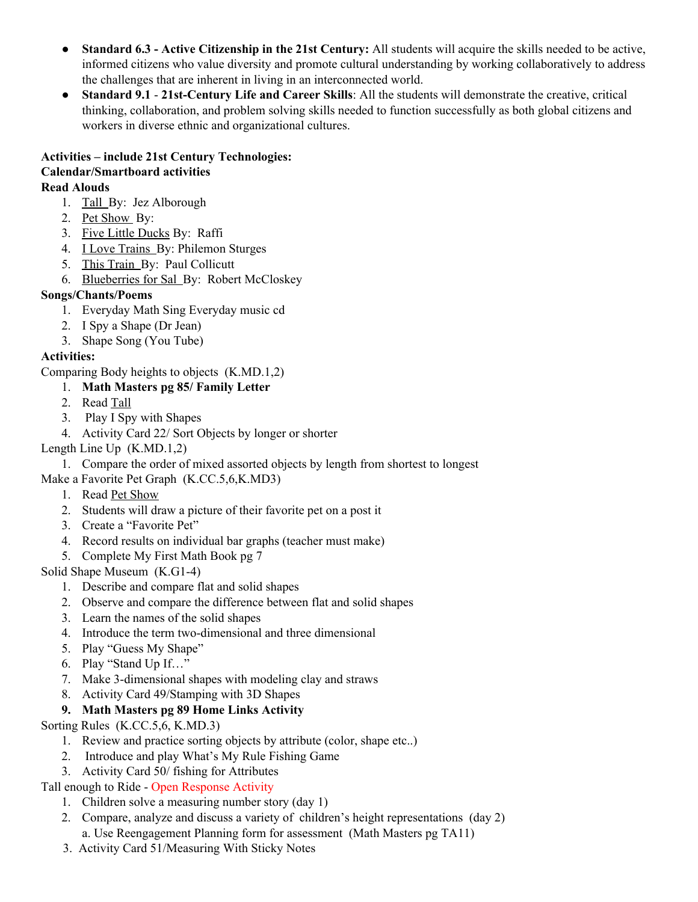- **Standard 6.3 - Active Citizenship in the 21st Century:** All students will acquire the skills needed to be active, informed citizens who value diversity and promote cultural understanding by working collaboratively to address the challenges that are inherent in living in an interconnected world.
- **Standard 9.1 21st-Century Life and Career Skills**: All the students will demonstrate the creative, critical thinking, collaboration, and problem solving skills needed to function successfully as both global citizens and workers in diverse ethnic and organizational cultures.

#### **Activities – include 21st Century Technologies: Calendar/Smartboard activities Read Alouds**

- 1. Tall By: Jez Alborough
- 2. Pet Show By:
- 3. Five Little Ducks By: Raffi
- 4. I Love Trains By: Philemon Sturges
- 5. This Train By: Paul Collicutt
- 6. Blueberries for Sal By: Robert McCloskey

## **Songs/Chants/Poems**

- 1. Everyday Math Sing Everyday music cd
- 2. I Spy a Shape (Dr Jean)
- 3. Shape Song (You Tube)

## **Activities:**

Comparing Body heights to objects (K.MD.1,2)

## 1. **Math Masters pg 85/ Family Letter**

- 2. Read Tall
- 3. Play I Spy with Shapes
- 4. Activity Card 22/ Sort Objects by longer or shorter
- Length Line Up (K.MD.1,2)

1. Compare the order of mixed assorted objects by length from shortest to longest

Make a Favorite Pet Graph (K.CC.5,6,K.MD3)

- 1. Read Pet Show
- 2. Students will draw a picture of their favorite pet on a post it
- 3. Create a "Favorite Pet"
- 4. Record results on individual bar graphs (teacher must make)
- 5. Complete My First Math Book pg 7

Solid Shape Museum (K.G1-4)

- 1. Describe and compare flat and solid shapes
- 2. Observe and compare the difference between flat and solid shapes
- 3. Learn the names of the solid shapes
- 4. Introduce the term two-dimensional and three dimensional
- 5. Play "Guess My Shape"
- 6. Play "Stand Up If…"
- 7. Make 3-dimensional shapes with modeling clay and straws
- 8. Activity Card 49/Stamping with 3D Shapes
- **9. Math Masters pg 89 Home Links Activity**

Sorting Rules (K.CC.5,6, K.MD.3)

- 1. Review and practice sorting objects by attribute (color, shape etc..)
- 2. Introduce and play What's My Rule Fishing Game
- 3. Activity Card 50/ fishing for Attributes

## Tall enough to Ride - Open Response Activity

- 1. Children solve a measuring number story (day 1)
- 2. Compare, analyze and discuss a variety of children's height representations (day 2) a. Use Reengagement Planning form for assessment (Math Masters pg TA11)
- 3. Activity Card 51/Measuring With Sticky Notes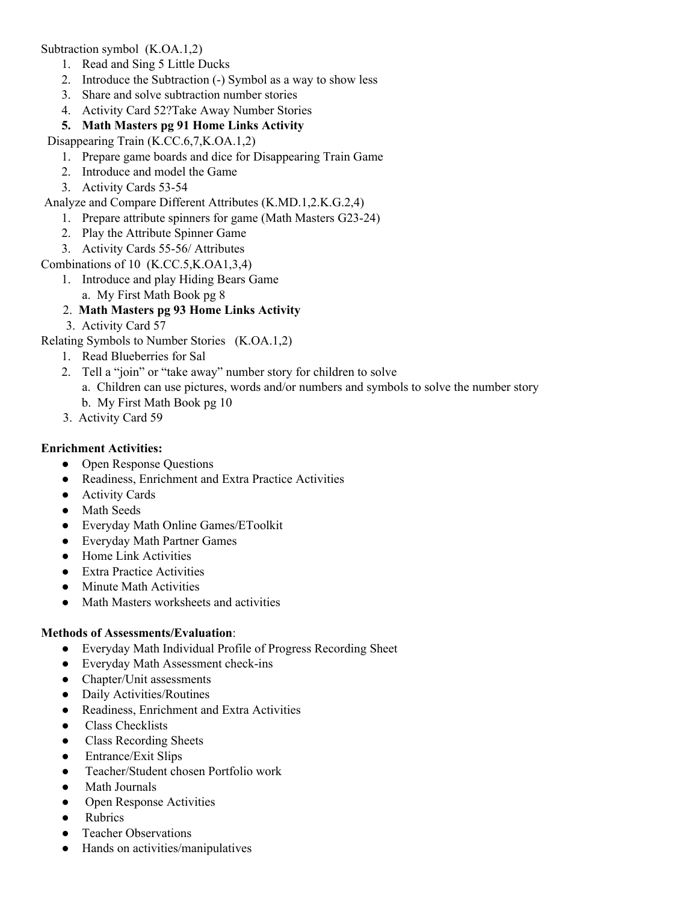Subtraction symbol (K.OA.1,2)

- 1. Read and Sing 5 Little Ducks
- 2. Introduce the Subtraction (-) Symbol as a way to show less
- 3. Share and solve subtraction number stories
- 4. Activity Card 52?Take Away Number Stories
- **5. Math Masters pg 91 Home Links Activity**

Disappearing Train (K.CC.6,7,K.OA.1,2)

- 1. Prepare game boards and dice for Disappearing Train Game
- 2. Introduce and model the Game
- 3. Activity Cards 53-54

Analyze and Compare Different Attributes (K.MD.1,2.K.G.2,4)

- 1. Prepare attribute spinners for game (Math Masters G23-24)
- 2. Play the Attribute Spinner Game
- 3. Activity Cards 55-56/ Attributes

Combinations of 10 (K.CC.5,K.OA1,3,4)

- 1. Introduce and play Hiding Bears Game
	- a. My First Math Book pg 8

## 2. **Math Masters pg 93 Home Links Activity**

3. Activity Card 57

Relating Symbols to Number Stories (K.OA.1,2)

- 1. Read Blueberries for Sal
- 2. Tell a "join" or "take away" number story for children to solve
	- a. Children can use pictures, words and/or numbers and symbols to solve the number story
		- b. My First Math Book pg 10
- 3. Activity Card 59

#### **Enrichment Activities:**

- Open Response Questions
- Readiness, Enrichment and Extra Practice Activities
- Activity Cards
- Math Seeds
- Everyday Math Online Games/EToolkit
- Everyday Math Partner Games
- Home Link Activities
- Extra Practice Activities
- Minute Math Activities
- Math Masters worksheets and activities

#### **Methods of Assessments/Evaluation**:

- Everyday Math Individual Profile of Progress Recording Sheet
- Everyday Math Assessment check-ins
- Chapter/Unit assessments
- Daily Activities/Routines
- Readiness, Enrichment and Extra Activities
- Class Checklists
- Class Recording Sheets
- Entrance/Exit Slips
- Teacher/Student chosen Portfolio work
- **Math Journals**
- Open Response Activities
- **Rubrics**
- Teacher Observations
- Hands on activities/manipulatives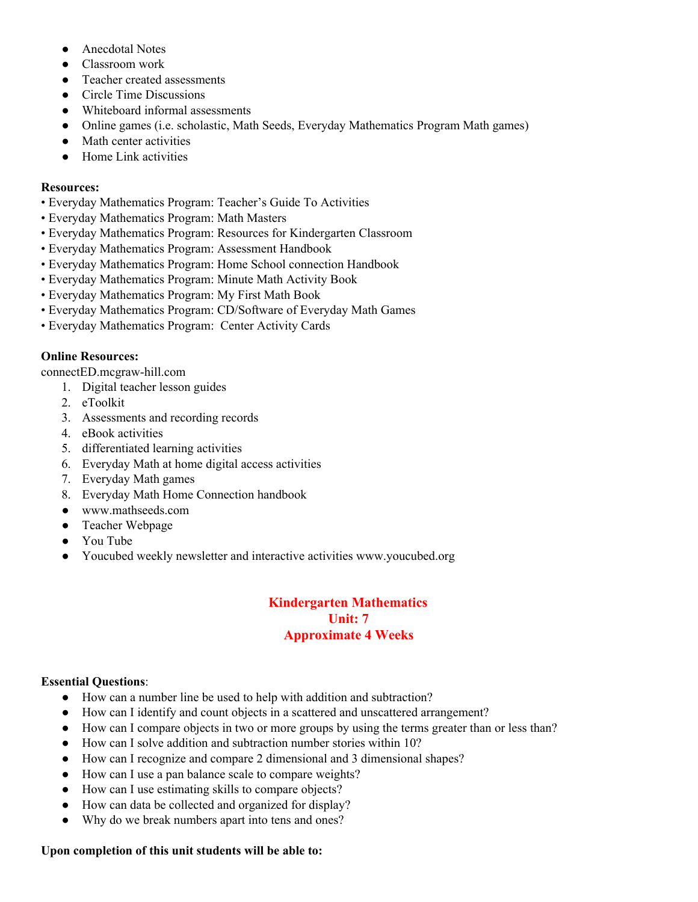- Anecdotal Notes
- Classroom work
- Teacher created assessments
- Circle Time Discussions
- Whiteboard informal assessments
- Online games (i.e. scholastic, Math Seeds, Everyday Mathematics Program Math games)
- Math center activities
- **Home Link activities**

#### **Resources:**

- Everyday Mathematics Program: Teacher's Guide To Activities
- Everyday Mathematics Program: Math Masters
- Everyday Mathematics Program: Resources for Kindergarten Classroom
- Everyday Mathematics Program: Assessment Handbook
- Everyday Mathematics Program: Home School connection Handbook
- Everyday Mathematics Program: Minute Math Activity Book
- Everyday Mathematics Program: My First Math Book
- Everyday Mathematics Program: CD/Software of Everyday Math Games
- Everyday Mathematics Program: Center Activity Cards

#### **Online Resources:**

connectED.mcgraw-hill.com

- 1. Digital teacher lesson guides
- 2. eToolkit
- 3. Assessments and recording records
- 4. eBook activities
- 5. differentiated learning activities
- 6. Everyday Math at home digital access activities
- 7. Everyday Math games
- 8. Everyday Math Home Connection handbook
- www.mathseeds.com
- Teacher Webpage
- You Tube
- Youcubed weekly newsletter and interactive activities www.youcubed.org

## **Kindergarten Mathematics Unit: 7 Approximate 4 Weeks**

#### **Essential Questions**:

- How can a number line be used to help with addition and subtraction?
- How can I identify and count objects in a scattered and unscattered arrangement?
- How can I compare objects in two or more groups by using the terms greater than or less than?
- How can I solve addition and subtraction number stories within 10?
- How can I recognize and compare 2 dimensional and 3 dimensional shapes?
- How can I use a pan balance scale to compare weights?
- How can I use estimating skills to compare objects?
- How can data be collected and organized for display?
- Why do we break numbers apart into tens and ones?

#### **Upon completion of this unit students will be able to:**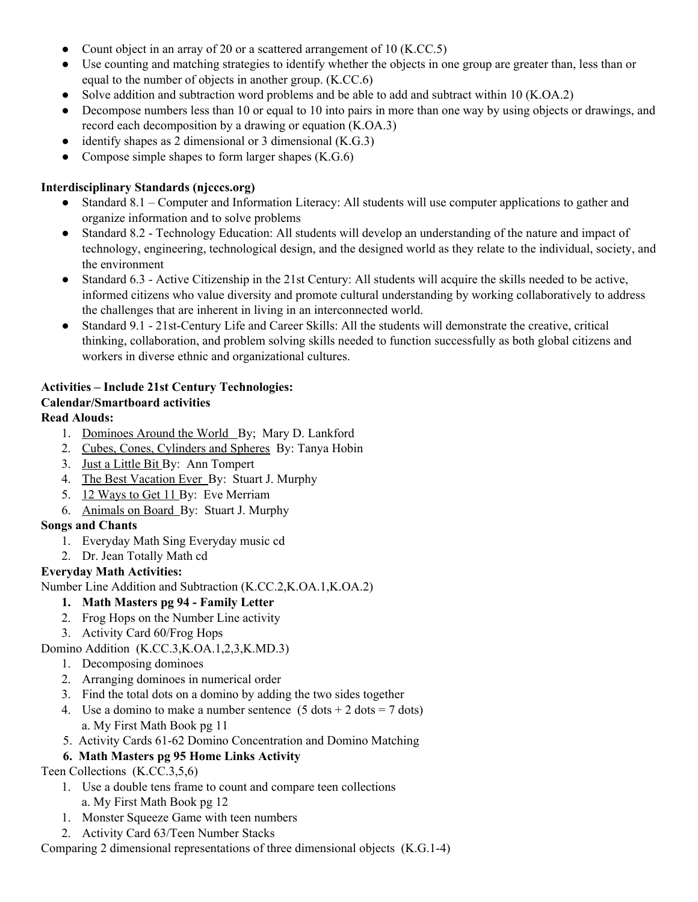- Count object in an array of 20 or a scattered arrangement of 10 (K.CC.5)
- Use counting and matching strategies to identify whether the objects in one group are greater than, less than or equal to the number of objects in another group. (K.CC.6)
- Solve addition and subtraction word problems and be able to add and subtract within 10 (K.OA.2)
- Decompose numbers less than 10 or equal to 10 into pairs in more than one way by using objects or drawings, and record each decomposition by a drawing or equation (K.OA.3)
- identify shapes as 2 dimensional or 3 dimensional  $(K.G.3)$
- Compose simple shapes to form larger shapes  $(K.G.6)$

## **Interdisciplinary Standards (njcccs.org)**

- Standard 8.1 Computer and Information Literacy: All students will use computer applications to gather and organize information and to solve problems
- Standard 8.2 Technology Education: All students will develop an understanding of the nature and impact of technology, engineering, technological design, and the designed world as they relate to the individual, society, and the environment
- Standard 6.3 Active Citizenship in the 21st Century: All students will acquire the skills needed to be active, informed citizens who value diversity and promote cultural understanding by working collaboratively to address the challenges that are inherent in living in an interconnected world.
- Standard 9.1 21st-Century Life and Career Skills: All the students will demonstrate the creative, critical thinking, collaboration, and problem solving skills needed to function successfully as both global citizens and workers in diverse ethnic and organizational cultures.

## **Activities – Include 21st Century Technologies:**

## **Calendar/Smartboard activities**

## **Read Alouds:**

- 1. Dominoes Around the World By; Mary D. Lankford
- 2. Cubes, Cones, Cylinders and Spheres By: Tanya Hobin
- 3. Just a Little Bit By: Ann Tompert
- 4. The Best Vacation Ever By: Stuart J. Murphy
- 5. 12 Ways to Get 11 By: Eve Merriam
- 6. Animals on Board By: Stuart J. Murphy

## **Songs and Chants**

- 1. Everyday Math Sing Everyday music cd
- 2. Dr. Jean Totally Math cd

## **Everyday Math Activities:**

Number Line Addition and Subtraction (K.CC.2,K.OA.1,K.OA.2)

- **1. Math Masters pg 94 - Family Letter**
- 2. Frog Hops on the Number Line activity
- 3. Activity Card 60/Frog Hops

Domino Addition (K.CC.3,K.OA.1,2,3,K.MD.3)

- 1. Decomposing dominoes
- 2. Arranging dominoes in numerical order
- 3. Find the total dots on a domino by adding the two sides together
- 4. Use a domino to make a number sentence  $(5 \text{ dots} + 2 \text{ dots} = 7 \text{ dots})$ a. My First Math Book pg 11
- 5. Activity Cards 61-62 Domino Concentration and Domino Matching

## **6. Math Masters pg 95 Home Links Activity**

Teen Collections (K.CC.3,5,6)

- 1. Use a double tens frame to count and compare teen collections
- a. My First Math Book pg 12
- 1. Monster Squeeze Game with teen numbers
- 2. Activity Card 63/Teen Number Stacks

Comparing 2 dimensional representations of three dimensional objects (K.G.1-4)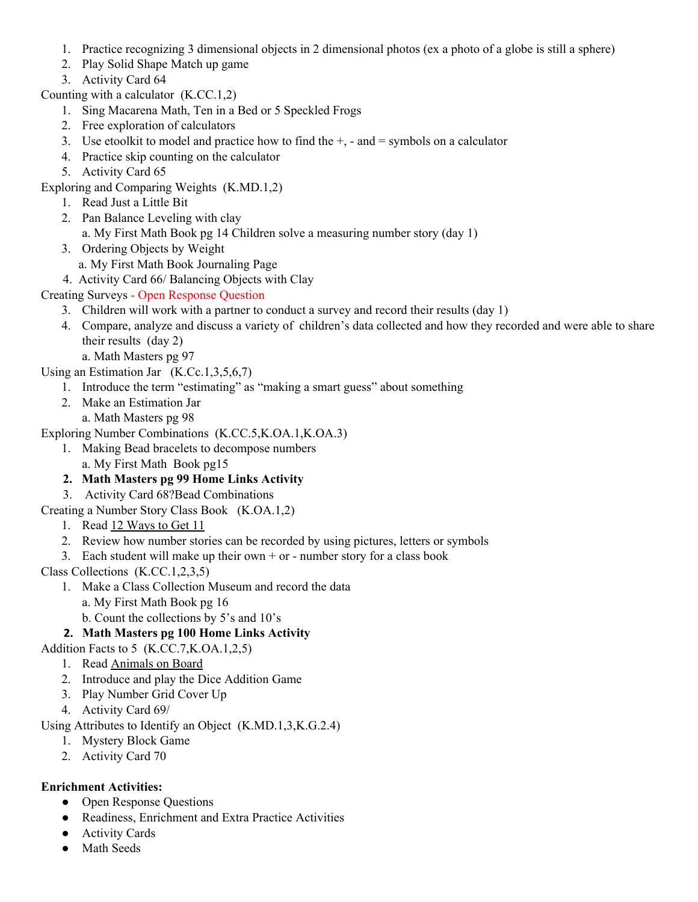- 1. Practice recognizing 3 dimensional objects in 2 dimensional photos (ex a photo of a globe is still a sphere)
- 2. Play Solid Shape Match up game
- 3. Activity Card 64

Counting with a calculator (K.CC.1,2)

- 1. Sing Macarena Math, Ten in a Bed or 5 Speckled Frogs
- 2. Free exploration of calculators
- 3. Use etoolkit to model and practice how to find the  $+$ ,  $-$  and  $=$  symbols on a calculator
- 4. Practice skip counting on the calculator
- 5. Activity Card 65
- Exploring and Comparing Weights (K.MD.1,2)
	- 1. Read Just a Little Bit
	- 2. Pan Balance Leveling with clay
		- a. My First Math Book pg 14 Children solve a measuring number story (day 1)
	- 3. Ordering Objects by Weight
		- a. My First Math Book Journaling Page
	- 4. Activity Card 66/ Balancing Objects with Clay
- Creating Surveys Open Response Question
	- 3. Children will work with a partner to conduct a survey and record their results (day 1)
	- 4. Compare, analyze and discuss a variety of children's data collected and how they recorded and were able to share their results (day 2)
- a. Math Masters pg 97
- Using an Estimation Jar (K.Cc.1,3,5,6,7)
	- 1. Introduce the term "estimating" as "making a smart guess" about something
	- 2. Make an Estimation Jar
		- a. Math Masters pg 98

Exploring Number Combinations (K.CC.5,K.OA.1,K.OA.3)

- 1. Making Bead bracelets to decompose numbers
- a. My First Math Book pg15
- **2. Math Masters pg 99 Home Links Activity**
- 3. Activity Card 68?Bead Combinations

Creating a Number Story Class Book (K.OA.1,2)

- 1. Read 12 Ways to Get 11
- 2. Review how number stories can be recorded by using pictures, letters or symbols
- 3. Each student will make up their own  $+$  or number story for a class book

Class Collections (K.CC.1,2,3,5)

- 1. Make a Class Collection Museum and record the data
	- a. My First Math Book pg 16
	- b. Count the collections by 5's and 10's

## **2. Math Masters pg 100 Home Links Activity**

Addition Facts to 5 (K.CC.7,K.OA.1,2,5)

- 1. Read Animals on Board
- 2. Introduce and play the Dice Addition Game
- 3. Play Number Grid Cover Up
- 4. Activity Card 69/

Using Attributes to Identify an Object (K.MD.1,3,K.G.2.4)

- 1. Mystery Block Game
- 2. Activity Card 70

## **Enrichment Activities:**

- Open Response Questions
- Readiness, Enrichment and Extra Practice Activities
- Activity Cards
- Math Seeds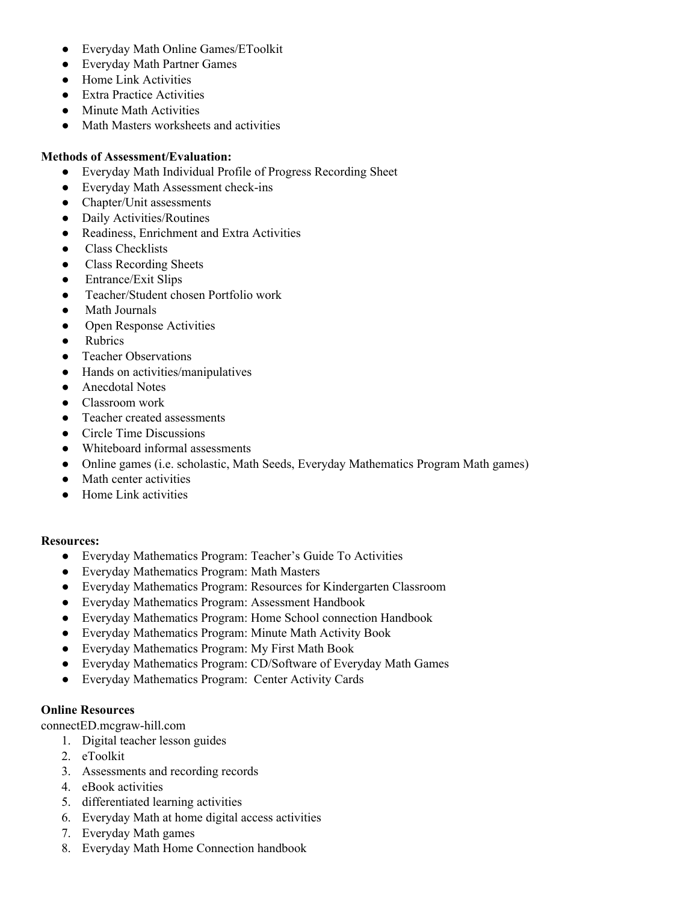- Everyday Math Online Games/EToolkit
- Everyday Math Partner Games
- Home Link Activities
- Extra Practice Activities
- Minute Math Activities
- Math Masters worksheets and activities

#### **Methods of Assessment/Evaluation:**

- Everyday Math Individual Profile of Progress Recording Sheet
- Everyday Math Assessment check-ins
- Chapter/Unit assessments
- Daily Activities/Routines
- Readiness, Enrichment and Extra Activities
- Class Checklists
- **Class Recording Sheets**
- Entrance/Exit Slips
- Teacher/Student chosen Portfolio work
- Math Journals
- Open Response Activities
- Rubrics
- Teacher Observations
- Hands on activities/manipulatives
- Anecdotal Notes
- Classroom work
- Teacher created assessments
- Circle Time Discussions
- Whiteboard informal assessments
- Online games (i.e. scholastic, Math Seeds, Everyday Mathematics Program Math games)
- Math center activities
- Home Link activities

#### **Resources:**

- Everyday Mathematics Program: Teacher's Guide To Activities
- Everyday Mathematics Program: Math Masters
- Everyday Mathematics Program: Resources for Kindergarten Classroom
- Everyday Mathematics Program: Assessment Handbook
- Everyday Mathematics Program: Home School connection Handbook
- Everyday Mathematics Program: Minute Math Activity Book
- Everyday Mathematics Program: My First Math Book
- Everyday Mathematics Program: CD/Software of Everyday Math Games
- Everyday Mathematics Program: Center Activity Cards

## **Online Resources**

connectED.mcgraw-hill.com

- 1. Digital teacher lesson guides
- 2. eToolkit
- 3. Assessments and recording records
- 4. eBook activities
- 5. differentiated learning activities
- 6. Everyday Math at home digital access activities
- 7. Everyday Math games
- 8. Everyday Math Home Connection handbook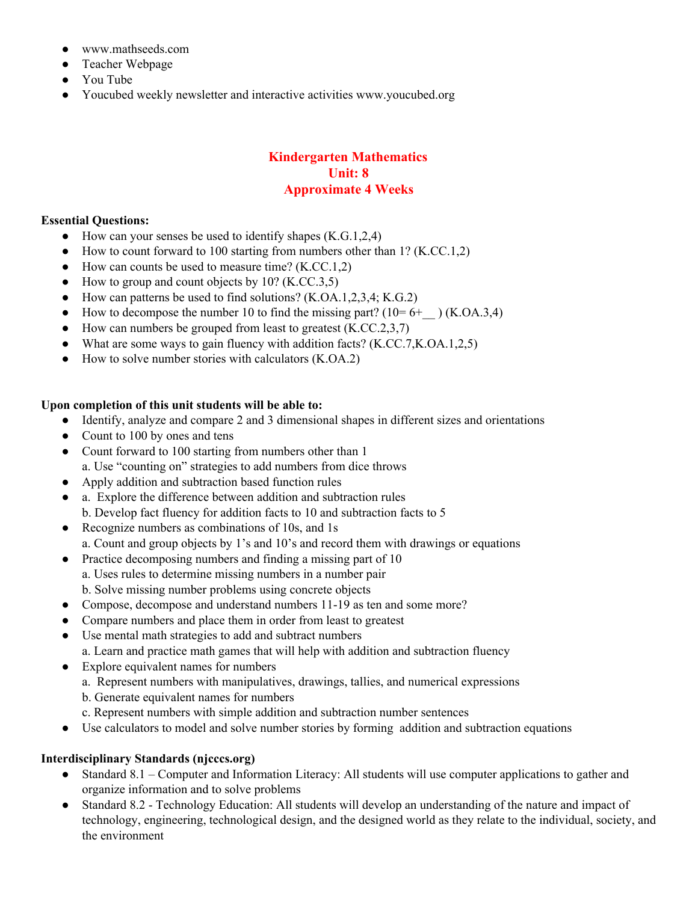- www.mathseeds.com
- Teacher Webpage
- You Tube
- Youcubed weekly newsletter and interactive activities www.youcubed.org

#### **Kindergarten Mathematics Unit: 8 Approximate 4 Weeks**

#### **Essential Questions:**

- $\bullet$  How can your senses be used to identify shapes (K.G.1,2,4)
- $\bullet$  How to count forward to 100 starting from numbers other than 1? (K.CC.1,2)
- $\bullet$  How can counts be used to measure time? (K.CC.1,2)
- $\bullet$  How to group and count objects by 10? (K.CC.3,5)
- How can patterns be used to find solutions?  $(K.OA.1, 2, 3, 4; K.G.2)$
- How to decompose the number 10 to find the missing part?  $(10=6+)$  (K.OA.3,4)
- $\bullet$  How can numbers be grouped from least to greatest (K.CC.2,3,7)
- What are some ways to gain fluency with addition facts? (K.CC.7, K.OA.1, 2,5)
- How to solve number stories with calculators (K.OA.2)

#### **Upon completion of this unit students will be able to:**

- Identify, analyze and compare 2 and 3 dimensional shapes in different sizes and orientations
- Count to 100 by ones and tens
- Count forward to 100 starting from numbers other than 1 a. Use "counting on" strategies to add numbers from dice throws
- Apply addition and subtraction based function rules
- a. Explore the difference between addition and subtraction rules b. Develop fact fluency for addition facts to 10 and subtraction facts to 5
- Recognize numbers as combinations of 10s, and 1s a. Count and group objects by 1's and 10's and record them with drawings or equations
- Practice decomposing numbers and finding a missing part of 10 a. Uses rules to determine missing numbers in a number pair b. Solve missing number problems using concrete objects
- Compose, decompose and understand numbers 11-19 as ten and some more?
- Compare numbers and place them in order from least to greatest
- Use mental math strategies to add and subtract numbers
	- a. Learn and practice math games that will help with addition and subtraction fluency
- Explore equivalent names for numbers
	- a. Represent numbers with manipulatives, drawings, tallies, and numerical expressions
	- b. Generate equivalent names for numbers
	- c. Represent numbers with simple addition and subtraction number sentences
- Use calculators to model and solve number stories by forming addition and subtraction equations

#### **Interdisciplinary Standards (njcccs.org)**

- Standard 8.1 Computer and Information Literacy: All students will use computer applications to gather and organize information and to solve problems
- Standard 8.2 Technology Education: All students will develop an understanding of the nature and impact of technology, engineering, technological design, and the designed world as they relate to the individual, society, and the environment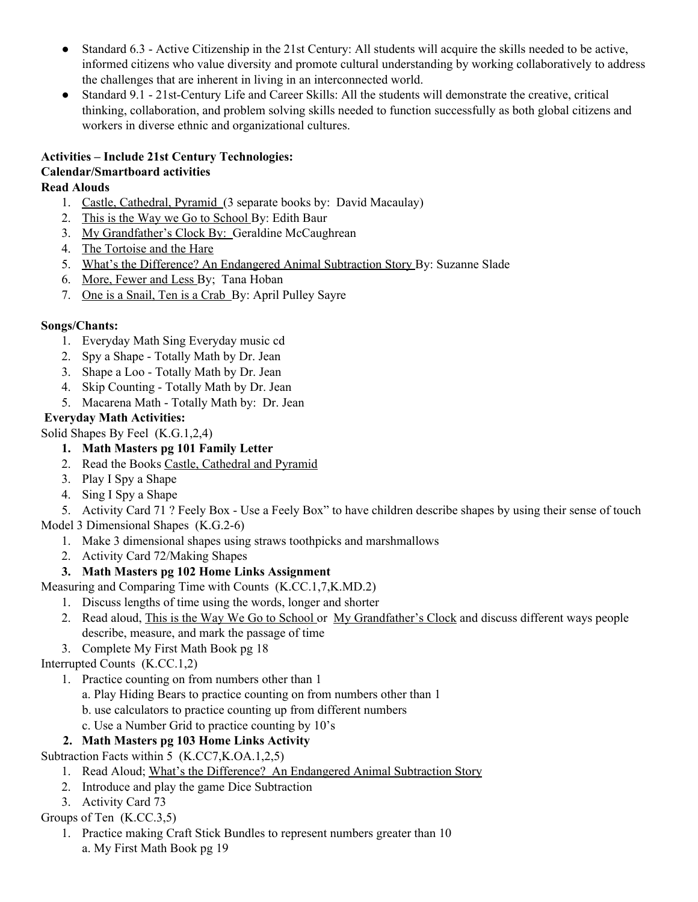- Standard 6.3 Active Citizenship in the 21st Century: All students will acquire the skills needed to be active, informed citizens who value diversity and promote cultural understanding by working collaboratively to address the challenges that are inherent in living in an interconnected world.
- Standard 9.1 21st-Century Life and Career Skills: All the students will demonstrate the creative, critical thinking, collaboration, and problem solving skills needed to function successfully as both global citizens and workers in diverse ethnic and organizational cultures.

## **Activities – Include 21st Century Technologies: Calendar/Smartboard activities**

## **Read Alouds**

- 1. Castle, Cathedral, Pyramid (3 separate books by: David Macaulay)
- 2. This is the Way we Go to School By: Edith Baur
- 3. My Grandfather's Clock By: Geraldine McCaughrean
- 4. The Tortoise and the Hare
- 5. What's the Difference? An Endangered Animal Subtraction Story By: Suzanne Slade
- 6. More, Fewer and Less By; Tana Hoban
- 7. One is a Snail, Ten is a Crab By: April Pulley Sayre

## **Songs/Chants:**

- 1. Everyday Math Sing Everyday music cd
- 2. Spy a Shape Totally Math by Dr. Jean
- 3. Shape a Loo Totally Math by Dr. Jean
- 4. Skip Counting Totally Math by Dr. Jean
- 5. Macarena Math Totally Math by: Dr. Jean

## **Everyday Math Activities:**

Solid Shapes By Feel (K.G.1,2,4)

- **1. Math Masters pg 101 Family Letter**
- 2. Read the Books Castle, Cathedral and Pyramid
- 3. Play I Spy a Shape
- 4. Sing I Spy a Shape

5. Activity Card 71 ? Feely Box - Use a Feely Box" to have children describe shapes by using their sense of touch Model 3 Dimensional Shapes (K.G.2-6)

- 1. Make 3 dimensional shapes using straws toothpicks and marshmallows
- 2. Activity Card 72/Making Shapes

## **3. Math Masters pg 102 Home Links Assignment**

Measuring and Comparing Time with Counts (K.CC.1,7,K.MD.2)

- 1. Discuss lengths of time using the words, longer and shorter
- 2. Read aloud, This is the Way We Go to School or My Grandfather's Clock and discuss different ways people describe, measure, and mark the passage of time
- 3. Complete My First Math Book pg 18

Interrupted Counts (K.CC.1,2)

- 1. Practice counting on from numbers other than 1
	- a. Play Hiding Bears to practice counting on from numbers other than 1
	- b. use calculators to practice counting up from different numbers
	- c. Use a Number Grid to practice counting by 10's

## **2. Math Masters pg 103 Home Links Activity**

Subtraction Facts within 5 (K.CC7,K.OA.1,2,5)

- 1. Read Aloud; What's the Difference? An Endangered Animal Subtraction Story
- 2. Introduce and play the game Dice Subtraction
- 3. Activity Card 73

Groups of Ten (K.CC.3,5)

1. Practice making Craft Stick Bundles to represent numbers greater than 10 a. My First Math Book pg 19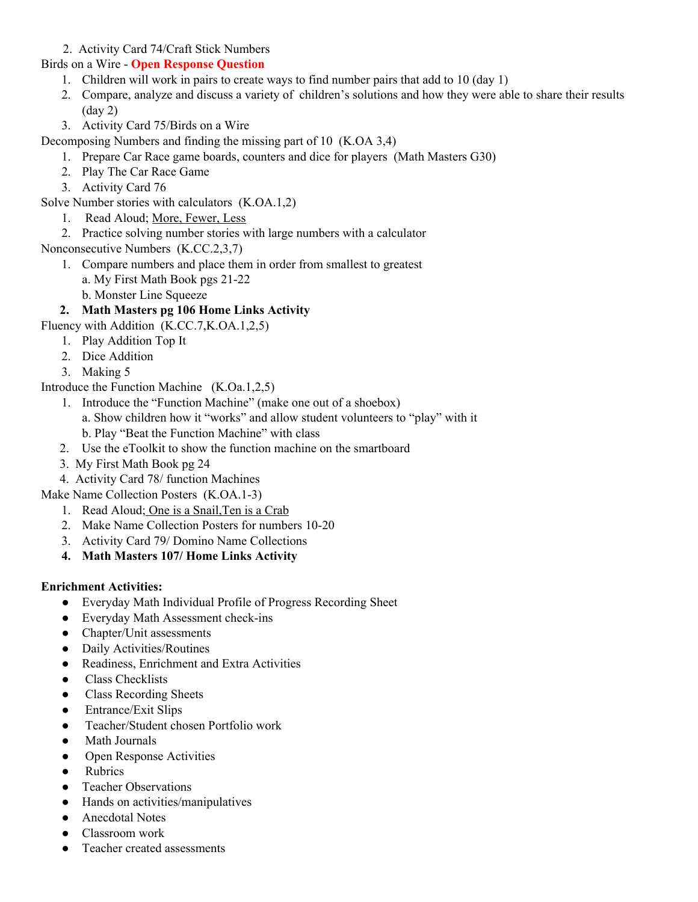2. Activity Card 74/Craft Stick Numbers

Birds on a Wire - **Open Response Question**

- 1. Children will work in pairs to create ways to find number pairs that add to 10 (day 1)
- 2. Compare, analyze and discuss a variety of children's solutions and how they were able to share their results (day 2)
- 3. Activity Card 75/Birds on a Wire

Decomposing Numbers and finding the missing part of 10 (K.OA 3,4)

- 1. Prepare Car Race game boards, counters and dice for players (Math Masters G30)
- 2. Play The Car Race Game
- 3. Activity Card 76

Solve Number stories with calculators (K.OA.1,2)

- 1. Read Aloud; More, Fewer, Less
- 2. Practice solving number stories with large numbers with a calculator

Nonconsecutive Numbers (K.CC.2,3,7)

- 1. Compare numbers and place them in order from smallest to greatest
	- a. My First Math Book pgs 21-22
	- b. Monster Line Squeeze

## **2. Math Masters pg 106 Home Links Activity**

Fluency with Addition (K.CC.7,K.OA.1,2,5)

- 1. Play Addition Top It
- 2. Dice Addition
- 3. Making 5

Introduce the Function Machine (K.Oa.1,2,5)

- 1. Introduce the "Function Machine" (make one out of a shoebox) a. Show children how it "works" and allow student volunteers to "play" with it b. Play "Beat the Function Machine" with class
- 2. Use the eToolkit to show the function machine on the smartboard
- 3. My First Math Book pg 24
- 4. Activity Card 78/ function Machines

Make Name Collection Posters (K.OA.1-3)

- 1. Read Aloud; One is a Snail,Ten is a Crab
- 2. Make Name Collection Posters for numbers 10-20
- 3. Activity Card 79/ Domino Name Collections
- **4. Math Masters 107/ Home Links Activity**

#### **Enrichment Activities:**

- Everyday Math Individual Profile of Progress Recording Sheet
- Everyday Math Assessment check-ins
- Chapter/Unit assessments
- Daily Activities/Routines
- Readiness, Enrichment and Extra Activities
- Class Checklists
- Class Recording Sheets
- Entrance/Exit Slips
- Teacher/Student chosen Portfolio work
- Math Journals
- Open Response Activities
- Rubrics
- Teacher Observations
- Hands on activities/manipulatives
- Anecdotal Notes
- Classroom work
- Teacher created assessments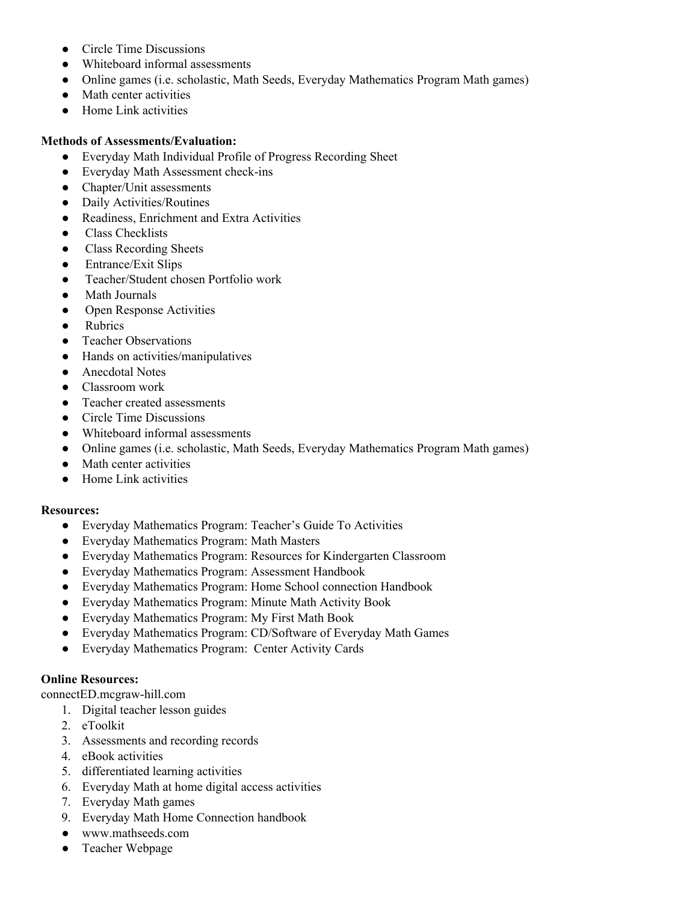- Circle Time Discussions
- Whiteboard informal assessments
- Online games (i.e. scholastic, Math Seeds, Everyday Mathematics Program Math games)
- Math center activities
- Home Link activities

#### **Methods of Assessments/Evaluation:**

- Everyday Math Individual Profile of Progress Recording Sheet
- Everyday Math Assessment check-ins
- Chapter/Unit assessments
- Daily Activities/Routines
- Readiness, Enrichment and Extra Activities
- Class Checklists
- Class Recording Sheets
- Entrance/Exit Slips
- Teacher/Student chosen Portfolio work
- **Math Journals**
- Open Response Activities
- Rubrics
- Teacher Observations
- Hands on activities/manipulatives
- Anecdotal Notes
- Classroom work
- Teacher created assessments
- Circle Time Discussions
- Whiteboard informal assessments
- Online games (i.e. scholastic, Math Seeds, Everyday Mathematics Program Math games)
- Math center activities
- Home Link activities

#### **Resources:**

- Everyday Mathematics Program: Teacher's Guide To Activities
- Everyday Mathematics Program: Math Masters
- Everyday Mathematics Program: Resources for Kindergarten Classroom
- Everyday Mathematics Program: Assessment Handbook
- Everyday Mathematics Program: Home School connection Handbook
- Everyday Mathematics Program: Minute Math Activity Book
- Everyday Mathematics Program: My First Math Book
- Everyday Mathematics Program: CD/Software of Everyday Math Games
- Everyday Mathematics Program: Center Activity Cards

#### **Online Resources:**

connectED.mcgraw-hill.com

- 1. Digital teacher lesson guides
- 2. eToolkit
- 3. Assessments and recording records
- 4. eBook activities
- 5. differentiated learning activities
- 6. Everyday Math at home digital access activities
- 7. Everyday Math games
- 9. Everyday Math Home Connection handbook
- www.mathseeds.com
- Teacher Webpage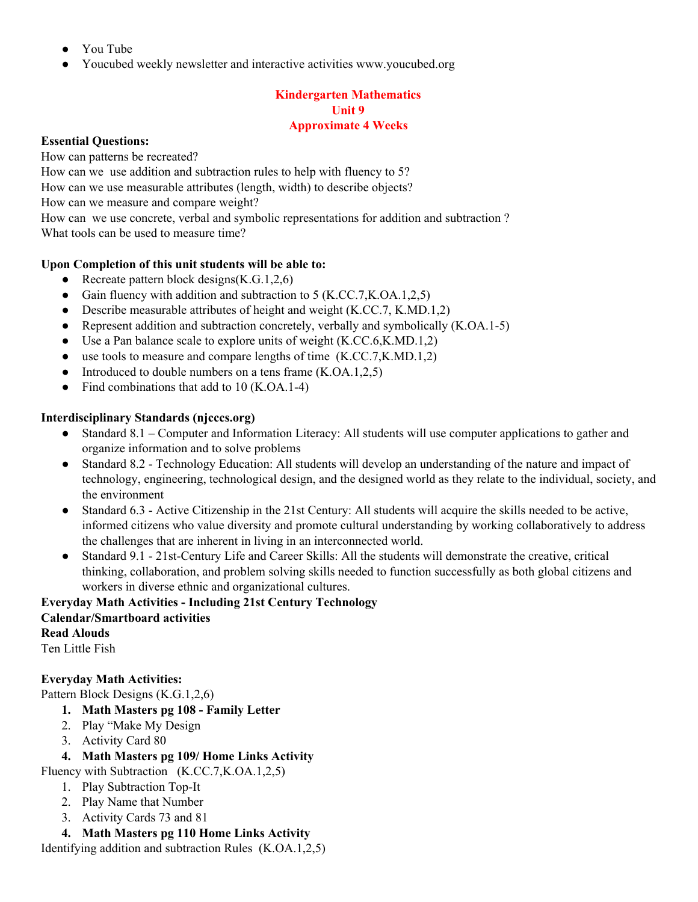- You Tube
- Youcubed weekly newsletter and interactive activities www.youcubed.org

#### **Kindergarten Mathematics Unit 9 Approximate 4 Weeks**

#### **Essential Questions:**

How can patterns be recreated?

How can we use addition and subtraction rules to help with fluency to 5?

How can we use measurable attributes (length, width) to describe objects?

How can we measure and compare weight?

How can we use concrete, verbal and symbolic representations for addition and subtraction ? What tools can be used to measure time?

#### **Upon Completion of this unit students will be able to:**

- Recreate pattern block designs $(K.G.1,2,6)$
- Gain fluency with addition and subtraction to 5 (K.CC.7, K.OA.1, 2, 5)
- Describe measurable attributes of height and weight (K.CC.7, K.MD.1,2)
- Represent addition and subtraction concretely, verbally and symbolically (K.OA.1-5)
- Use a Pan balance scale to explore units of weight  $(K.CC.6, K.MD.1, 2)$
- $\bullet$  use tools to measure and compare lengths of time  $(K.CC.7,K.MD.1,2)$
- Introduced to double numbers on a tens frame  $(K.OA.1,2,5)$
- Find combinations that add to 10 (K.OA.1-4)

#### **Interdisciplinary Standards (njcccs.org)**

- Standard 8.1 Computer and Information Literacy: All students will use computer applications to gather and organize information and to solve problems
- Standard 8.2 Technology Education: All students will develop an understanding of the nature and impact of technology, engineering, technological design, and the designed world as they relate to the individual, society, and the environment
- Standard 6.3 Active Citizenship in the 21st Century: All students will acquire the skills needed to be active, informed citizens who value diversity and promote cultural understanding by working collaboratively to address the challenges that are inherent in living in an interconnected world.
- Standard 9.1 21st-Century Life and Career Skills: All the students will demonstrate the creative, critical thinking, collaboration, and problem solving skills needed to function successfully as both global citizens and workers in diverse ethnic and organizational cultures.

## **Everyday Math Activities - Including 21st Century Technology Calendar/Smartboard activities Read Alouds**

Ten Little Fish

## **Everyday Math Activities:**

Pattern Block Designs (K.G.1,2,6)

- **1. Math Masters pg 108 - Family Letter**
- 2. Play "Make My Design
- 3. Activity Card 80

## **4. Math Masters pg 109/ Home Links Activity**

Fluency with Subtraction (K.CC.7,K.OA.1,2,5)

- 1. Play Subtraction Top-It
- 2. Play Name that Number
- 3. Activity Cards 73 and 81
- **4. Math Masters pg 110 Home Links Activity**

Identifying addition and subtraction Rules (K.OA.1,2,5)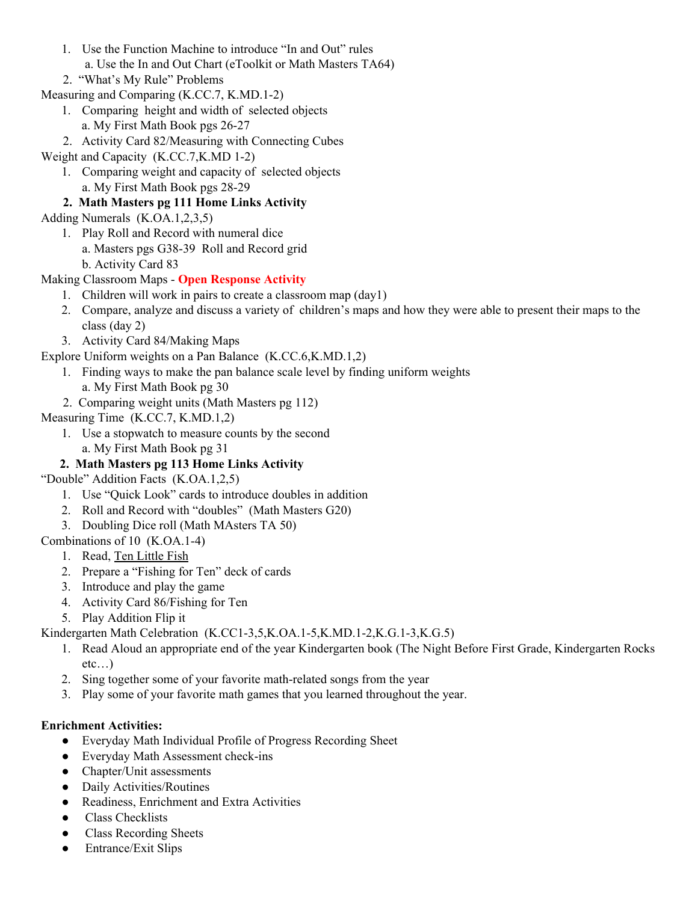- 1. Use the Function Machine to introduce "In and Out" rules a. Use the In and Out Chart (eToolkit or Math Masters TA64)
- 2. "What's My Rule" Problems
- Measuring and Comparing (K.CC.7, K.MD.1-2)
	- 1. Comparing height and width of selected objects a. My First Math Book pgs 26-27
	- 2. Activity Card 82/Measuring with Connecting Cubes
- Weight and Capacity (K.CC.7,K.MD 1-2)
	- 1. Comparing weight and capacity of selected objects a. My First Math Book pgs 28-29

## **2. Math Masters pg 111 Home Links Activity**

- Adding Numerals (K.OA.1,2,3,5)
	- 1. Play Roll and Record with numeral dice
		- a. Masters pgs G38-39 Roll and Record grid
		- b. Activity Card 83
- Making Classroom Maps **Open Response Activity**
	- 1. Children will work in pairs to create a classroom map (day1)
	- 2. Compare, analyze and discuss a variety of children's maps and how they were able to present their maps to the class (day 2)
	- 3. Activity Card 84/Making Maps
- Explore Uniform weights on a Pan Balance (K.CC.6,K.MD.1,2)
	- 1. Finding ways to make the pan balance scale level by finding uniform weights
		- a. My First Math Book pg 30
	- 2. Comparing weight units (Math Masters pg 112)
- Measuring Time (K.CC.7, K.MD.1,2)
	- 1. Use a stopwatch to measure counts by the second a. My First Math Book pg 31

## **2. Math Masters pg 113 Home Links Activity**

- "Double" Addition Facts (K.OA.1,2,5)
	- 1. Use "Quick Look" cards to introduce doubles in addition
	- 2. Roll and Record with "doubles" (Math Masters G20)
	- 3. Doubling Dice roll (Math MAsters TA 50)
- Combinations of 10 (K.OA.1-4)
	- 1. Read, Ten Little Fish
	- 2. Prepare a "Fishing for Ten" deck of cards
	- 3. Introduce and play the game
	- 4. Activity Card 86/Fishing for Ten
	- 5. Play Addition Flip it
- Kindergarten Math Celebration (K.CC1-3,5,K.OA.1-5,K.MD.1-2,K.G.1-3,K.G.5)
	- 1. Read Aloud an appropriate end of the year Kindergarten book (The Night Before First Grade, Kindergarten Rocks  $etc...$ )
	- 2. Sing together some of your favorite math-related songs from the year
	- 3. Play some of your favorite math games that you learned throughout the year.

## **Enrichment Activities:**

- Everyday Math Individual Profile of Progress Recording Sheet
- Everyday Math Assessment check-ins
- Chapter/Unit assessments
- Daily Activities/Routines
- Readiness, Enrichment and Extra Activities
- Class Checklists
- Class Recording Sheets
- Entrance/Exit Slips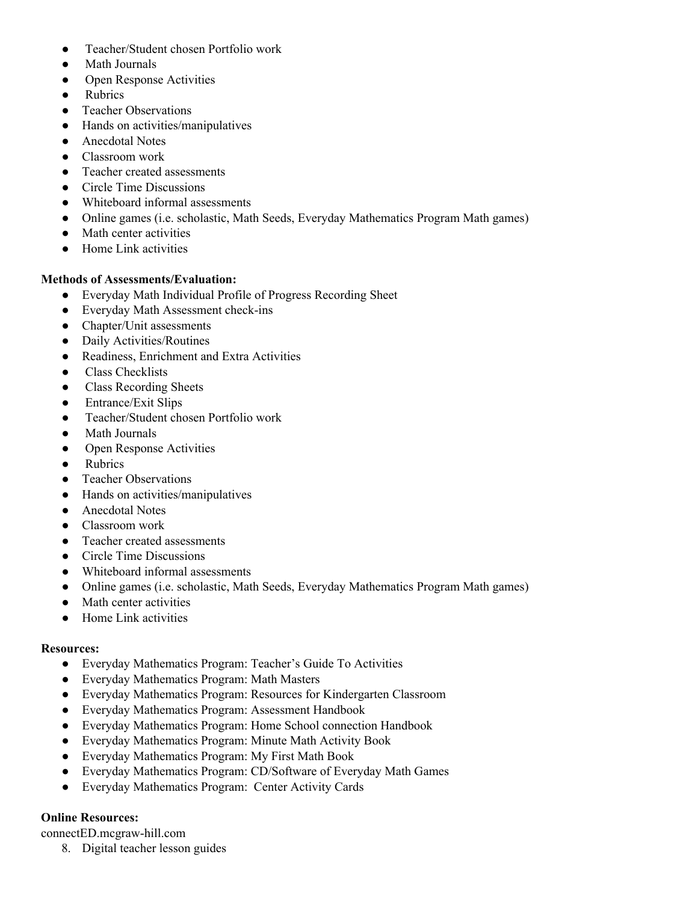- Teacher/Student chosen Portfolio work
- Math Journals
- Open Response Activities
- Rubrics
- Teacher Observations
- Hands on activities/manipulatives
- Anecdotal Notes
- Classroom work
- Teacher created assessments
- Circle Time Discussions
- Whiteboard informal assessments
- Online games (i.e. scholastic, Math Seeds, Everyday Mathematics Program Math games)
- Math center activities
- Home Link activities

#### **Methods of Assessments/Evaluation:**

- Everyday Math Individual Profile of Progress Recording Sheet
- Everyday Math Assessment check-ins
- Chapter/Unit assessments
- Daily Activities/Routines
- Readiness, Enrichment and Extra Activities
- Class Checklists
- Class Recording Sheets
- Entrance/Exit Slips
- Teacher/Student chosen Portfolio work
- **Math Journals**
- Open Response Activities
- Rubrics
- Teacher Observations
- Hands on activities/manipulatives
- Anecdotal Notes
- Classroom work
- Teacher created assessments
- Circle Time Discussions
- Whiteboard informal assessments
- Online games (i.e. scholastic, Math Seeds, Everyday Mathematics Program Math games)
- Math center activities
- Home Link activities

#### **Resources:**

- Everyday Mathematics Program: Teacher's Guide To Activities
- Everyday Mathematics Program: Math Masters
- Everyday Mathematics Program: Resources for Kindergarten Classroom
- Everyday Mathematics Program: Assessment Handbook
- Everyday Mathematics Program: Home School connection Handbook
- Everyday Mathematics Program: Minute Math Activity Book
- Everyday Mathematics Program: My First Math Book
- Everyday Mathematics Program: CD/Software of Everyday Math Games
- Everyday Mathematics Program: Center Activity Cards

#### **Online Resources:**

connectED.mcgraw-hill.com

8. Digital teacher lesson guides